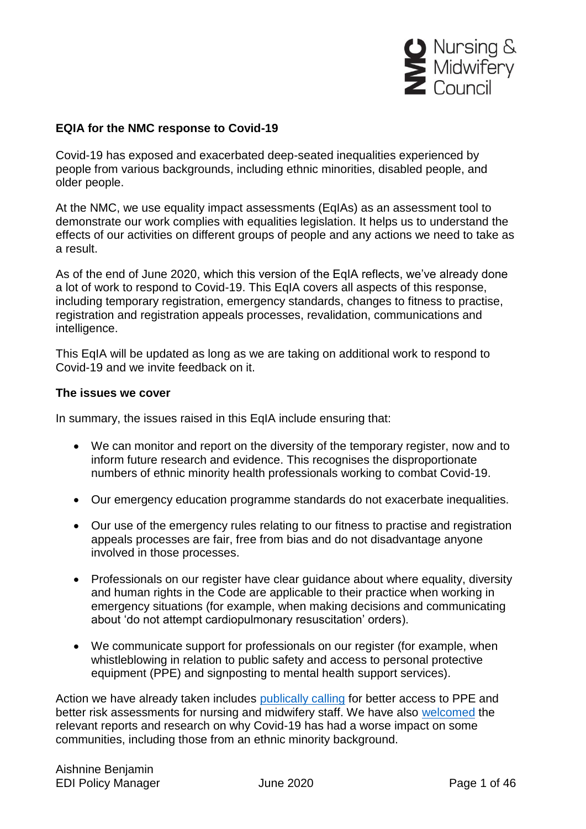

#### **EQIA for the NMC response to Covid-19**

Covid-19 has exposed and exacerbated deep-seated inequalities experienced by people from various backgrounds, including ethnic minorities, disabled people, and older people.

At the NMC, we use equality impact assessments (EqIAs) as an assessment tool to demonstrate our work complies with equalities legislation. It helps us to understand the effects of our activities on different groups of people and any actions we need to take as a result.

As of the end of June 2020, which this version of the EqIA reflects, we've already done a lot of work to respond to Covid-19. This EqIA covers all aspects of this response, including temporary registration, emergency standards, changes to fitness to practise, registration and registration appeals processes, revalidation, communications and intelligence.

This EqIA will be updated as long as we are taking on additional work to respond to Covid-19 and we invite feedback on it.

#### **The issues we cover**

In summary, the issues raised in this EqIA include ensuring that:

- We can monitor and report on the diversity of the temporary register, now and to inform future research and evidence. This recognises the disproportionate numbers of ethnic minority health professionals working to combat Covid-19.
- Our emergency education programme standards do not exacerbate inequalities.
- Our use of the emergency rules relating to our fitness to practise and registration appeals processes are fair, free from bias and do not disadvantage anyone involved in those processes.
- Professionals on our register have clear guidance about where equality, diversity and human rights in the Code are applicable to their practice when working in emergency situations (for example, when making decisions and communicating about 'do not attempt cardiopulmonary resuscitation' orders).
- We communicate support for professionals on our register (for example, when whistleblowing in relation to public safety and access to personal protective equipment (PPE) and signposting to mental health support services).

Action we have already taken includes [publically calling](https://www.nmc.org.uk/news/coronavirus/statements/) for better access to PPE and better risk assessments for nursing and midwifery staff. We have also [welcomed](https://www.nmc.org.uk/news/news-and-updates/responding-impact-covid-19-bame/) the relevant reports and research on why Covid-19 has had a worse impact on some communities, including those from an ethnic minority background.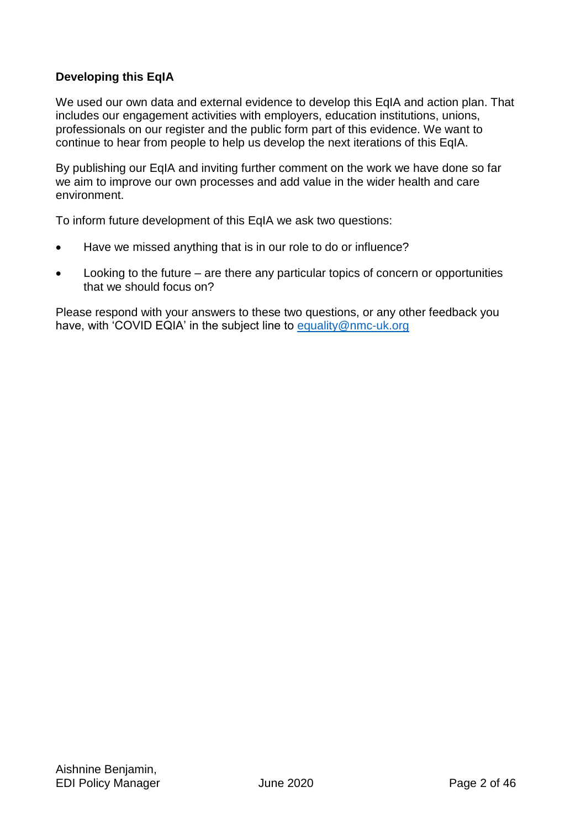### **Developing this EqIA**

We used our own data and external evidence to develop this EqIA and action plan. That includes our engagement activities with employers, education institutions, unions, professionals on our register and the public form part of this evidence. We want to continue to hear from people to help us develop the next iterations of this EqIA.

By publishing our EqIA and inviting further comment on the work we have done so far we aim to improve our own processes and add value in the wider health and care environment.

To inform future development of this EqIA we ask two questions:

- Have we missed anything that is in our role to do or influence?
- Looking to the future are there any particular topics of concern or opportunities that we should focus on?

Please respond with your answers to these two questions, or any other feedback you have, with 'COVID EQIA' in the subject line to [equality@nmc-uk.org](mailto:equality@nmc-uk.org)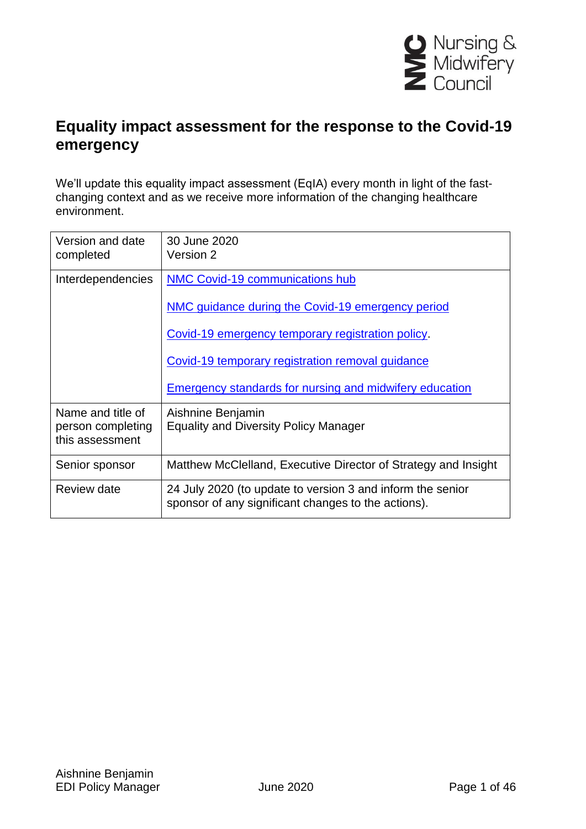

# **Equality impact assessment for the response to the Covid-19 emergency**

We'll update this equality impact assessment (EqIA) every month in light of the fastchanging context and as we receive more information of the changing healthcare environment.

| Version and date<br>completed                             | 30 June 2020<br>Version 2                                                                                         |
|-----------------------------------------------------------|-------------------------------------------------------------------------------------------------------------------|
| Interdependencies                                         | NMC Covid-19 communications hub                                                                                   |
|                                                           | NMC guidance during the Covid-19 emergency period                                                                 |
|                                                           | Covid-19 emergency temporary registration policy.                                                                 |
|                                                           | Covid-19 temporary registration removal guidance                                                                  |
|                                                           | <b>Emergency standards for nursing and midwifery education</b>                                                    |
| Name and title of<br>person completing<br>this assessment | Aishnine Benjamin<br><b>Equality and Diversity Policy Manager</b>                                                 |
| Senior sponsor                                            | Matthew McClelland, Executive Director of Strategy and Insight                                                    |
| Review date                                               | 24 July 2020 (to update to version 3 and inform the senior<br>sponsor of any significant changes to the actions). |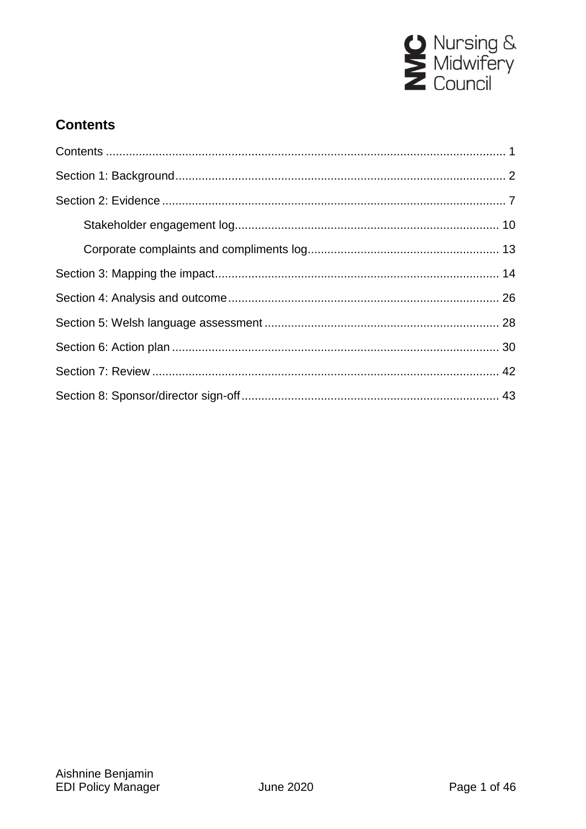

# <span id="page-3-0"></span>**Contents**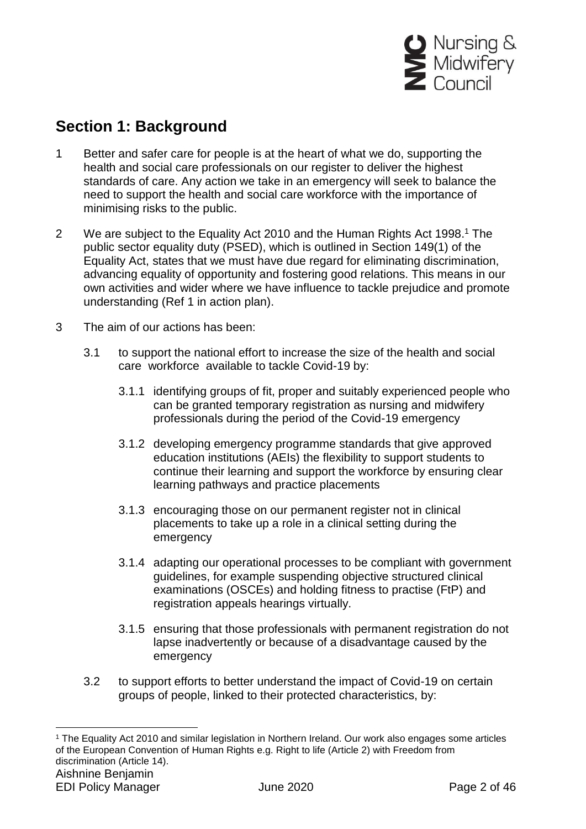

# <span id="page-4-0"></span>**Section 1: Background**

- 1 Better and safer care for people is at the heart of what we do, supporting the health and social care professionals on our register to deliver the highest standards of care. Any action we take in an emergency will seek to balance the need to support the health and social care workforce with the importance of minimising risks to the public.
- 2 We are subject to the Equality Act 2010 and the Human Rights Act 1998.<sup>1</sup> The public sector equality duty (PSED), which is outlined in Section 149(1) of the Equality Act, states that we must have due regard for eliminating discrimination, advancing equality of opportunity and fostering good relations. This means in our own activities and wider where we have influence to tackle prejudice and promote understanding (Ref 1 in action plan).
- 3 The aim of our actions has been:

- 3.1 to support the national effort to increase the size of the health and social care workforce available to tackle Covid-19 by:
	- 3.1.1 identifying groups of fit, proper and suitably experienced people who can be granted temporary registration as nursing and midwifery professionals during the period of the Covid-19 emergency
	- 3.1.2 developing emergency programme standards that give approved education institutions (AEIs) the flexibility to support students to continue their learning and support the workforce by ensuring clear learning pathways and practice placements
	- 3.1.3 encouraging those on our permanent register not in clinical placements to take up a role in a clinical setting during the emergency
	- 3.1.4 adapting our operational processes to be compliant with government guidelines, for example suspending objective structured clinical examinations (OSCEs) and holding fitness to practise (FtP) and registration appeals hearings virtually.
	- 3.1.5 ensuring that those professionals with permanent registration do not lapse inadvertently or because of a disadvantage caused by the emergency
- 3.2 to support efforts to better understand the impact of Covid-19 on certain groups of people, linked to their protected characteristics, by:

Aishnine Benjamin EDI Policy Manager **IV** June 2020 **Page 2 of 46** <sup>1</sup> The Equality Act 2010 and similar legislation in Northern Ireland. Our work also engages some articles of the European Convention of Human Rights e.g. Right to life (Article 2) with Freedom from discrimination (Article 14).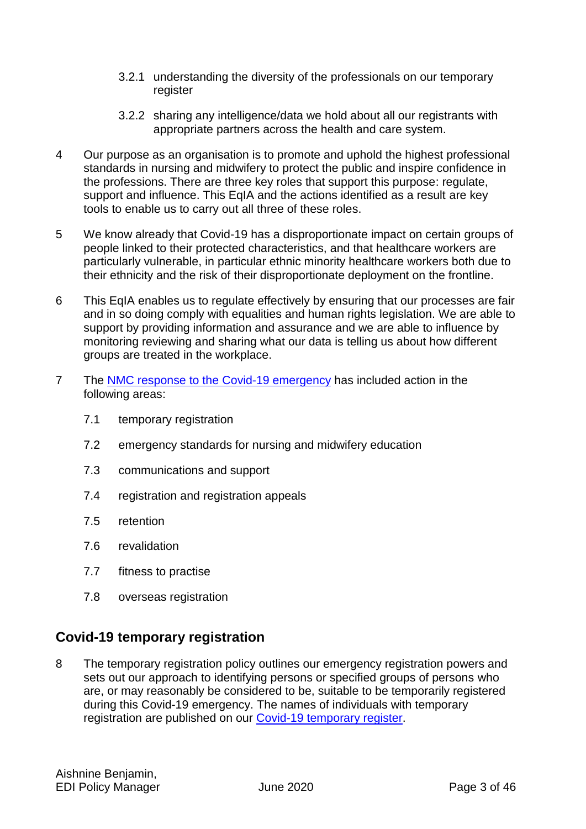- 3.2.1 understanding the diversity of the professionals on our temporary register
- 3.2.2 sharing any intelligence/data we hold about all our registrants with appropriate partners across the health and care system.
- 4 Our purpose as an organisation is to promote and uphold the highest professional standards in nursing and midwifery to protect the public and inspire confidence in the professions. There are three key roles that support this purpose: regulate, support and influence. This EqIA and the actions identified as a result are key tools to enable us to carry out all three of these roles.
- 5 We know already that Covid-19 has a disproportionate impact on certain groups of people linked to their protected characteristics, and that healthcare workers are particularly vulnerable, in particular ethnic minority healthcare workers both due to their ethnicity and the risk of their disproportionate deployment on the frontline.
- 6 This EqIA enables us to regulate effectively by ensuring that our processes are fair and in so doing comply with equalities and human rights legislation. We are able to support by providing information and assurance and we are able to influence by monitoring reviewing and sharing what our data is telling us about how different groups are treated in the workplace.
- 7 The [NMC response to the Covid-19 emergency](https://www.nmc.org.uk/news/coronavirus/) has included action in the following areas:
	- 7.1 temporary registration
	- 7.2 emergency standards for nursing and midwifery education
	- 7.3 communications and support
	- 7.4 registration and registration appeals
	- 7.5 retention
	- 7.6 revalidation
	- 7.7 fitness to practise
	- 7.8 overseas registration

# **Covid-19 temporary registration**

8 The temporary registration policy outlines our emergency registration powers and sets out our approach to identifying persons or specified groups of persons who are, or may reasonably be considered to be, suitable to be temporarily registered during this Covid-19 emergency. The names of individuals with temporary registration are published on our [Covid-19 temporary register.](https://www.nmc.org.uk/news/coronavirus/temporary-registration/)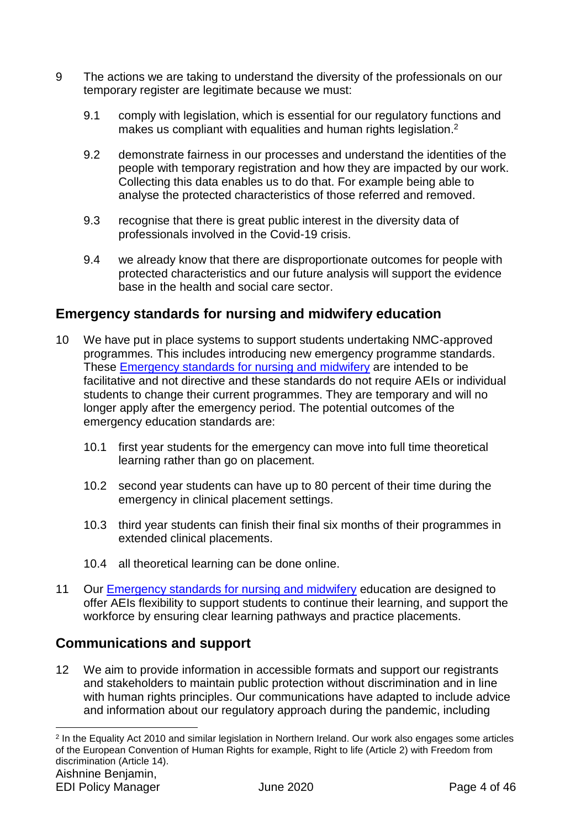- 9 The actions we are taking to understand the diversity of the professionals on our temporary register are legitimate because we must:
	- 9.1 comply with legislation, which is essential for our regulatory functions and makes us compliant with equalities and human rights legislation.<sup>2</sup>
	- 9.2 demonstrate fairness in our processes and understand the identities of the people with temporary registration and how they are impacted by our work. Collecting this data enables us to do that. For example being able to analyse the protected characteristics of those referred and removed.
	- 9.3 recognise that there is great public interest in the diversity data of professionals involved in the Covid-19 crisis.
	- 9.4 we already know that there are disproportionate outcomes for people with protected characteristics and our future analysis will support the evidence base in the health and social care sector.

# **Emergency standards for nursing and midwifery education**

- 10 We have put in place systems to support students undertaking NMC-approved programmes. This includes introducing new emergency programme standards. These [Emergency standards for nursing and midwifery](https://www.nmc.org.uk/globalassets/sitedocuments/education-standards/emergency-standards-for-nursing-and-midwifery-education.pdf) are intended to be facilitative and not directive and these standards do not require AEIs or individual students to change their current programmes. They are temporary and will no longer apply after the emergency period. The potential outcomes of the emergency education standards are:
	- 10.1 first year students for the emergency can move into full time theoretical learning rather than go on placement.
	- 10.2 second year students can have up to 80 percent of their time during the emergency in clinical placement settings.
	- 10.3 third year students can finish their final six months of their programmes in extended clinical placements.
	- 10.4 all theoretical learning can be done online.
- 11 Our [Emergency standards for nursing and midwifery](https://www.nmc.org.uk/globalassets/sitedocuments/education-standards/emergency-standards-for-nursing-and-midwifery-education.pdf) education are designed to offer AEIs flexibility to support students to continue their learning, and support the workforce by ensuring clear learning pathways and practice placements.

# **Communications and support**

12 We aim to provide information in accessible formats and support our registrants and stakeholders to maintain public protection without discrimination and in line with human rights principles. Our communications have adapted to include advice and information about our regulatory approach during the pandemic, including

Aishnine Benjamin, 1 2 In the Equality Act 2010 and similar legislation in Northern Ireland. Our work also engages some articles of the European Convention of Human Rights for example, Right to life (Article 2) with Freedom from discrimination (Article 14).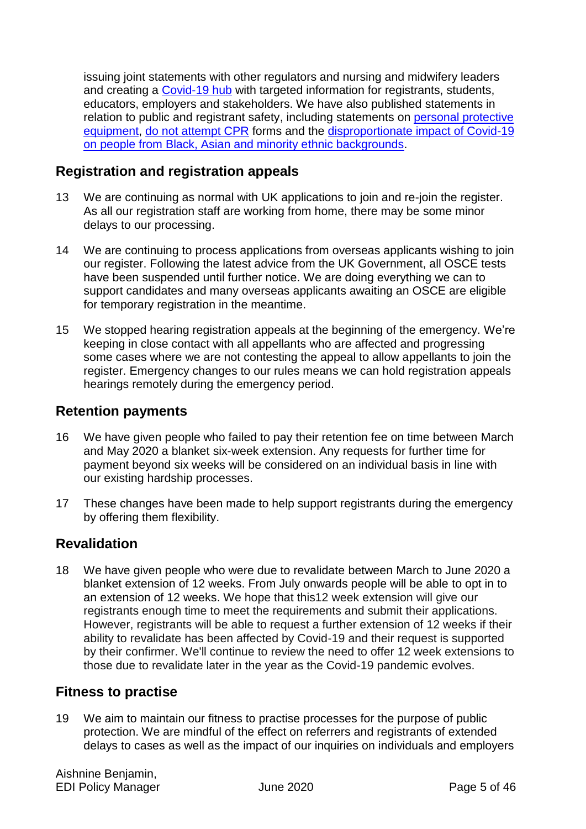issuing joint statements with other regulators and nursing and midwifery leaders and creating a [Covid-19 hub](https://www.nmc.org.uk/news/coronavirus/) with targeted information for registrants, students, educators, employers and stakeholders. We have also published statements in relation to public and registrant safety, including statements on [personal protective](https://www.nmc.org.uk/news/news-and-updates/nmc-statement-on-personal-protective-equipment-during-the-covid-19-pandemic/)  [equipment,](https://www.nmc.org.uk/news/news-and-updates/nmc-statement-on-personal-protective-equipment-during-the-covid-19-pandemic/) [do not attempt CPR](https://www.nmc.org.uk/news/news-and-updates/statement-advance-care-planning-dnacpr-gmc-nmc/) forms and the [disproportionate impact of Covid-19](https://www.nmc.org.uk/news/news-and-updates/statement-on-the-disproportionate-impact-of-covid-19-on-people-from-bame-backgrounds/)  [on people from Black, Asian and minority ethnic backgrounds.](https://www.nmc.org.uk/news/news-and-updates/statement-on-the-disproportionate-impact-of-covid-19-on-people-from-bame-backgrounds/)

## **Registration and registration appeals**

- 13 We are continuing as normal with UK applications to join and re-join the register. As all our registration staff are working from home, there may be some minor delays to our processing.
- 14 We are continuing to process applications from overseas applicants wishing to join our register. Following the latest advice from the UK Government, all OSCE tests have been suspended until further notice. We are doing everything we can to support candidates and many overseas applicants awaiting an OSCE are eligible for temporary registration in the meantime.
- 15 We stopped hearing registration appeals at the beginning of the emergency. We're keeping in close contact with all appellants who are affected and progressing some cases where we are not contesting the appeal to allow appellants to join the register. Emergency changes to our rules means we can hold registration appeals hearings remotely during the emergency period.

## **Retention payments**

- 16 We have given people who failed to pay their retention fee on time between March and May 2020 a blanket six-week extension. Any requests for further time for payment beyond six weeks will be considered on an individual basis in line with our existing hardship processes.
- 17 These changes have been made to help support registrants during the emergency by offering them flexibility.

# **Revalidation**

18 We have given people who were due to revalidate between March to June 2020 a blanket extension of 12 weeks. From July onwards people will be able to opt in to an extension of 12 weeks. We hope that this12 week extension will give our registrants enough time to meet the requirements and submit their applications. However, registrants will be able to request a further extension of 12 weeks if their ability to revalidate has been affected by Covid-19 and their request is supported by their confirmer. We'll continue to review the need to offer 12 week extensions to those due to revalidate later in the year as the Covid-19 pandemic evolves.

## **Fitness to practise**

19 We aim to maintain our fitness to practise processes for the purpose of public protection. We are mindful of the effect on referrers and registrants of extended delays to cases as well as the impact of our inquiries on individuals and employers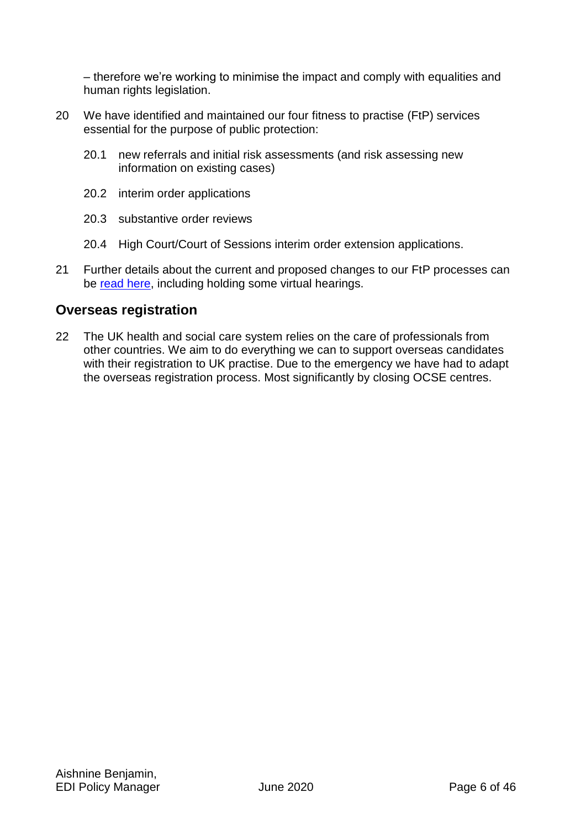– therefore we're working to minimise the impact and comply with equalities and human rights legislation.

- 20 We have identified and maintained our four fitness to practise (FtP) services essential for the purpose of public protection:
	- 20.1 new referrals and initial risk assessments (and risk assessing new information on existing cases)
	- 20.2 interim order applications
	- 20.3 substantive order reviews
	- 20.4 High Court/Court of Sessions interim order extension applications.
- 21 Further details about the current and proposed changes to our FtP processes can be [read here,](https://www.nmc.org.uk/globalassets/sitedocuments/ftp_information/nmc-guidance-during-the-covid-19-emergency-period.pdf) including holding some virtual hearings.

## **Overseas registration**

22 The UK health and social care system relies on the care of professionals from other countries. We aim to do everything we can to support overseas candidates with their registration to UK practise. Due to the emergency we have had to adapt the overseas registration process. Most significantly by closing OCSE centres.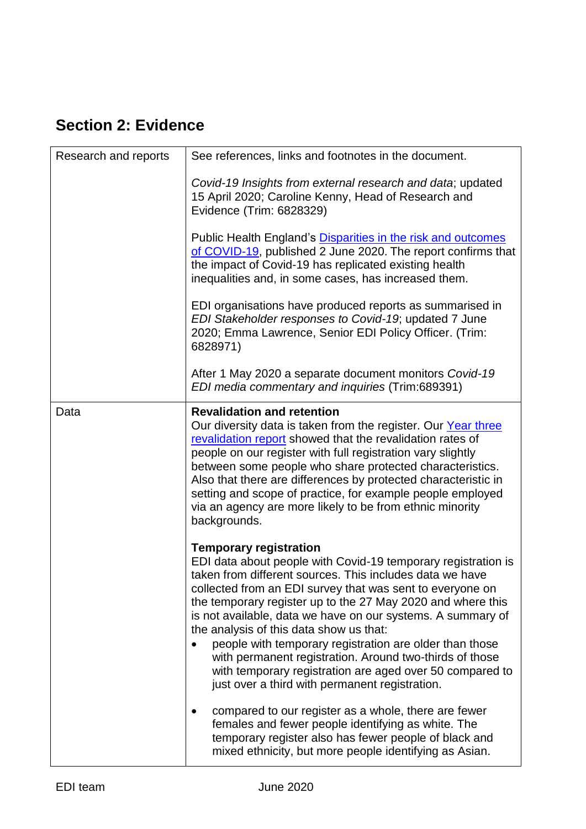# <span id="page-9-0"></span>**Section 2: Evidence**

| Research and reports | See references, links and footnotes in the document.                                                                                                                                                                                                                                                                                                                                                                                                                                                                                                                                                                                 |
|----------------------|--------------------------------------------------------------------------------------------------------------------------------------------------------------------------------------------------------------------------------------------------------------------------------------------------------------------------------------------------------------------------------------------------------------------------------------------------------------------------------------------------------------------------------------------------------------------------------------------------------------------------------------|
|                      | Covid-19 Insights from external research and data; updated<br>15 April 2020; Caroline Kenny, Head of Research and<br>Evidence (Trim: 6828329)                                                                                                                                                                                                                                                                                                                                                                                                                                                                                        |
|                      | Public Health England's Disparities in the risk and outcomes<br>of COVID-19, published 2 June 2020. The report confirms that<br>the impact of Covid-19 has replicated existing health<br>inequalities and, in some cases, has increased them.                                                                                                                                                                                                                                                                                                                                                                                        |
|                      | EDI organisations have produced reports as summarised in<br>EDI Stakeholder responses to Covid-19; updated 7 June<br>2020; Emma Lawrence, Senior EDI Policy Officer. (Trim:<br>6828971)                                                                                                                                                                                                                                                                                                                                                                                                                                              |
|                      | After 1 May 2020 a separate document monitors Covid-19<br>EDI media commentary and inquiries (Trim:689391)                                                                                                                                                                                                                                                                                                                                                                                                                                                                                                                           |
| Data                 | <b>Revalidation and retention</b><br>Our diversity data is taken from the register. Our Year three<br>revalidation report showed that the revalidation rates of<br>people on our register with full registration vary slightly<br>between some people who share protected characteristics.<br>Also that there are differences by protected characteristic in<br>setting and scope of practice, for example people employed<br>via an agency are more likely to be from ethnic minority<br>backgrounds.                                                                                                                               |
|                      | <b>Temporary registration</b><br>EDI data about people with Covid-19 temporary registration is<br>taken from different sources. This includes data we have<br>collected from an EDI survey that was sent to everyone on<br>the temporary register up to the 27 May 2020 and where this<br>is not available, data we have on our systems. A summary of<br>the analysis of this data show us that:<br>people with temporary registration are older than those<br>with permanent registration. Around two-thirds of those<br>with temporary registration are aged over 50 compared to<br>just over a third with permanent registration. |
|                      | compared to our register as a whole, there are fewer<br>females and fewer people identifying as white. The<br>temporary register also has fewer people of black and<br>mixed ethnicity, but more people identifying as Asian.                                                                                                                                                                                                                                                                                                                                                                                                        |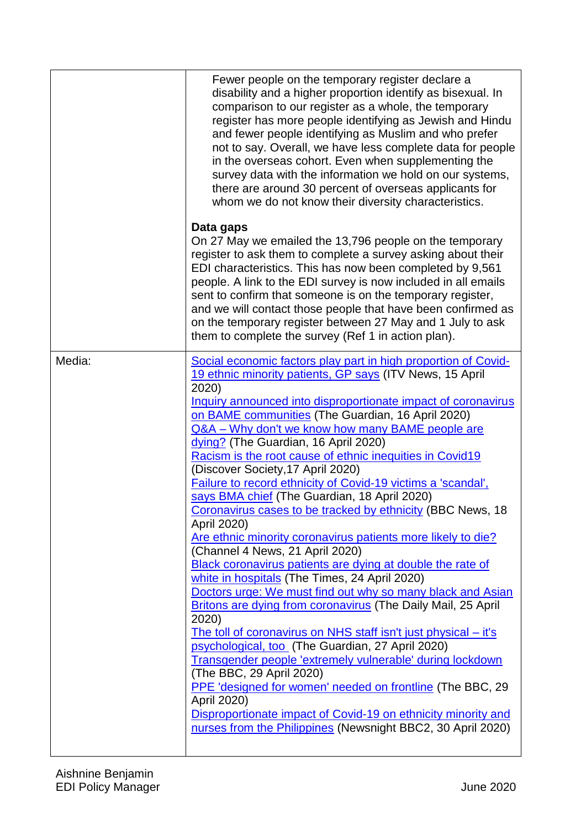|        | Fewer people on the temporary register declare a<br>disability and a higher proportion identify as bisexual. In<br>comparison to our register as a whole, the temporary<br>register has more people identifying as Jewish and Hindu<br>and fewer people identifying as Muslim and who prefer<br>not to say. Overall, we have less complete data for people<br>in the overseas cohort. Even when supplementing the<br>survey data with the information we hold on our systems,<br>there are around 30 percent of overseas applicants for<br>whom we do not know their diversity characteristics.                                                                                                                                                                                                                                                                                                                                                                                                                                                                                                                                                                                                                                                                                                                                                                                                                                                 |
|--------|-------------------------------------------------------------------------------------------------------------------------------------------------------------------------------------------------------------------------------------------------------------------------------------------------------------------------------------------------------------------------------------------------------------------------------------------------------------------------------------------------------------------------------------------------------------------------------------------------------------------------------------------------------------------------------------------------------------------------------------------------------------------------------------------------------------------------------------------------------------------------------------------------------------------------------------------------------------------------------------------------------------------------------------------------------------------------------------------------------------------------------------------------------------------------------------------------------------------------------------------------------------------------------------------------------------------------------------------------------------------------------------------------------------------------------------------------|
|        | Data gaps<br>On 27 May we emailed the 13,796 people on the temporary<br>register to ask them to complete a survey asking about their<br>EDI characteristics. This has now been completed by 9,561<br>people. A link to the EDI survey is now included in all emails<br>sent to confirm that someone is on the temporary register,<br>and we will contact those people that have been confirmed as<br>on the temporary register between 27 May and 1 July to ask<br>them to complete the survey (Ref 1 in action plan).                                                                                                                                                                                                                                                                                                                                                                                                                                                                                                                                                                                                                                                                                                                                                                                                                                                                                                                          |
| Media: | Social economic factors play part in high proportion of Covid-<br>19 ethnic minority patients, GP says (ITV News, 15 April<br>2020)<br>Inquiry announced into disproportionate impact of coronavirus<br>on BAME communities (The Guardian, 16 April 2020)<br>Q&A - Why don't we know how many BAME people are<br>dying? (The Guardian, 16 April 2020)<br>Racism is the root cause of ethnic inequities in Covid19<br>(Discover Society, 17 April 2020)<br>Failure to record ethnicity of Covid-19 victims a 'scandal',<br>says BMA chief (The Guardian, 18 April 2020)<br>Coronavirus cases to be tracked by ethnicity (BBC News, 18<br>April 2020)<br>Are ethnic minority coronavirus patients more likely to die?<br>(Channel 4 News, 21 April 2020)<br>Black coronavirus patients are dying at double the rate of<br>white in hospitals (The Times, 24 April 2020)<br>Doctors urge: We must find out why so many black and Asian<br><b>Britons are dying from coronavirus (The Daily Mail, 25 April</b><br>2020)<br>The toll of coronavirus on NHS staff isn't just physical – it's<br>psychological, too (The Guardian, 27 April 2020)<br>Transgender people 'extremely vulnerable' during lockdown<br>(The BBC, 29 April 2020)<br>PPE 'designed for women' needed on frontline (The BBC, 29<br>April 2020)<br>Disproportionate impact of Covid-19 on ethnicity minority and<br>nurses from the Philippines (Newsnight BBC2, 30 April 2020) |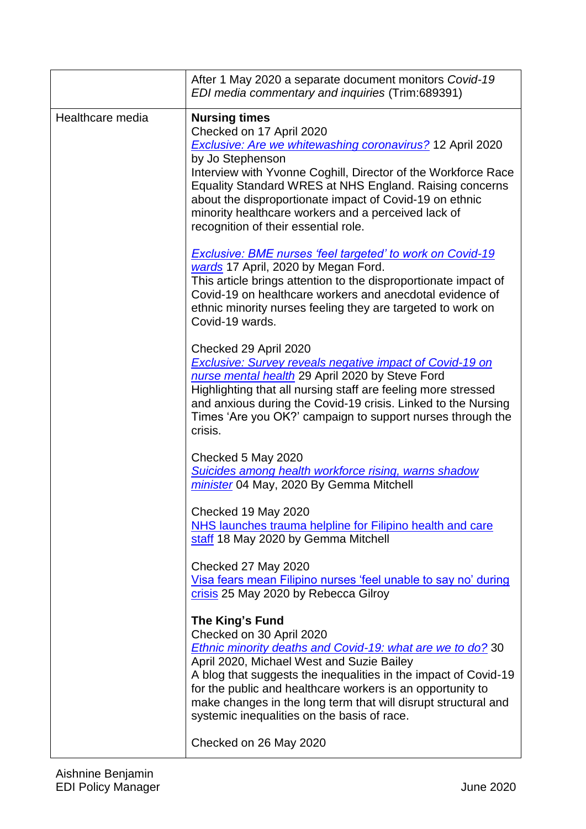|                  | After 1 May 2020 a separate document monitors Covid-19<br>EDI media commentary and inquiries (Trim:689391)                                                                                                                                                                                                                                                                                                                     |
|------------------|--------------------------------------------------------------------------------------------------------------------------------------------------------------------------------------------------------------------------------------------------------------------------------------------------------------------------------------------------------------------------------------------------------------------------------|
| Healthcare media | <b>Nursing times</b><br>Checked on 17 April 2020<br><b>Exclusive: Are we whitewashing coronavirus?</b> 12 April 2020<br>by Jo Stephenson<br>Interview with Yvonne Coghill, Director of the Workforce Race<br>Equality Standard WRES at NHS England. Raising concerns<br>about the disproportionate impact of Covid-19 on ethnic<br>minority healthcare workers and a perceived lack of<br>recognition of their essential role. |
|                  | <b>Exclusive: BME nurses 'feel targeted' to work on Covid-19</b><br>wards 17 April, 2020 by Megan Ford.<br>This article brings attention to the disproportionate impact of<br>Covid-19 on healthcare workers and anecdotal evidence of<br>ethnic minority nurses feeling they are targeted to work on<br>Covid-19 wards.                                                                                                       |
|                  | Checked 29 April 2020<br><b>Exclusive: Survey reveals negative impact of Covid-19 on</b><br>nurse mental health 29 April 2020 by Steve Ford<br>Highlighting that all nursing staff are feeling more stressed<br>and anxious during the Covid-19 crisis. Linked to the Nursing<br>Times 'Are you OK?' campaign to support nurses through the<br>crisis.                                                                         |
|                  | Checked 5 May 2020<br>Suicides among health workforce rising, warns shadow<br>minister 04 May, 2020 By Gemma Mitchell                                                                                                                                                                                                                                                                                                          |
|                  | Checked 19 May 2020<br>NHS launches trauma helpline for Filipino health and care<br>staff 18 May 2020 by Gemma Mitchell                                                                                                                                                                                                                                                                                                        |
|                  | Checked 27 May 2020<br>Visa fears mean Filipino nurses 'feel unable to say no' during<br>crisis 25 May 2020 by Rebecca Gilroy                                                                                                                                                                                                                                                                                                  |
|                  | The King's Fund<br>Checked on 30 April 2020<br><b>Ethnic minority deaths and Covid-19: what are we to do?</b> 30<br>April 2020, Michael West and Suzie Bailey<br>A blog that suggests the inequalities in the impact of Covid-19<br>for the public and healthcare workers is an opportunity to<br>make changes in the long term that will disrupt structural and<br>systemic inequalities on the basis of race.                |
|                  | Checked on 26 May 2020                                                                                                                                                                                                                                                                                                                                                                                                         |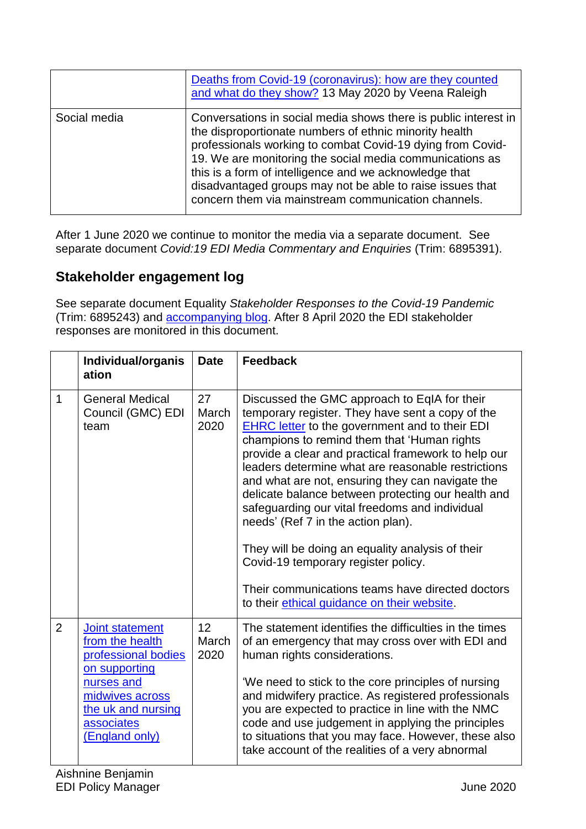|              | Deaths from Covid-19 (coronavirus): how are they counted<br>and what do they show? 13 May 2020 by Veena Raleigh                                                                                                                                                                                                                                                                                                                   |
|--------------|-----------------------------------------------------------------------------------------------------------------------------------------------------------------------------------------------------------------------------------------------------------------------------------------------------------------------------------------------------------------------------------------------------------------------------------|
| Social media | Conversations in social media shows there is public interest in<br>the disproportionate numbers of ethnic minority health<br>professionals working to combat Covid-19 dying from Covid-<br>19. We are monitoring the social media communications as<br>this is a form of intelligence and we acknowledge that<br>disadvantaged groups may not be able to raise issues that<br>concern them via mainstream communication channels. |

After 1 June 2020 we continue to monitor the media via a separate document. See separate document *Covid:19 EDI Media Commentary and Enquiries* (Trim: 6895391).

# <span id="page-12-0"></span>**Stakeholder engagement log**

See separate document Equality *Stakeholder Responses to the Covid-19 Pandemic* (Trim: 6895243) and [accompanying blog.](https://www.linkedin.com/pulse/considering-edi-impact-covid-19-pandemic-emma-lawrence/?trackingId=PcBkZSbxWpj7sO7nc1tWxw%3D%3D) After 8 April 2020 the EDI stakeholder responses are monitored in this document.

|                | Individual/organis<br>ation                                                                                                                                              | <b>Date</b>         | <b>Feedback</b>                                                                                                                                                                                                                                                                                                                                                                                                                                                                                                                                                                                                                                                                                                       |
|----------------|--------------------------------------------------------------------------------------------------------------------------------------------------------------------------|---------------------|-----------------------------------------------------------------------------------------------------------------------------------------------------------------------------------------------------------------------------------------------------------------------------------------------------------------------------------------------------------------------------------------------------------------------------------------------------------------------------------------------------------------------------------------------------------------------------------------------------------------------------------------------------------------------------------------------------------------------|
| $\mathbf{1}$   | <b>General Medical</b><br>Council (GMC) EDI<br>team                                                                                                                      | 27<br>March<br>2020 | Discussed the GMC approach to EqIA for their<br>temporary register. They have sent a copy of the<br><b>EHRC letter</b> to the government and to their EDI<br>champions to remind them that 'Human rights<br>provide a clear and practical framework to help our<br>leaders determine what are reasonable restrictions<br>and what are not, ensuring they can navigate the<br>delicate balance between protecting our health and<br>safeguarding our vital freedoms and individual<br>needs' (Ref 7 in the action plan).<br>They will be doing an equality analysis of their<br>Covid-19 temporary register policy.<br>Their communications teams have directed doctors<br>to their ethical guidance on their website. |
| $\overline{2}$ | <b>Joint statement</b><br>from the health<br>professional bodies<br>on supporting<br>nurses and<br>midwives across<br>the uk and nursing<br>associates<br>(England only) | 12<br>March<br>2020 | The statement identifies the difficulties in the times<br>of an emergency that may cross over with EDI and<br>human rights considerations.<br>'We need to stick to the core principles of nursing<br>and midwifery practice. As registered professionals<br>you are expected to practice in line with the NMC<br>code and use judgement in applying the principles<br>to situations that you may face. However, these also<br>take account of the realities of a very abnormal                                                                                                                                                                                                                                        |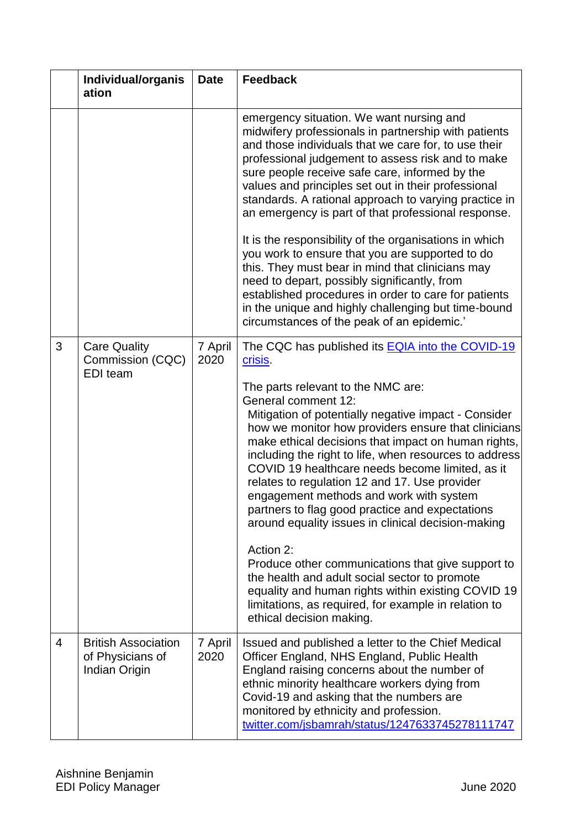|                | Individual/organis<br>ation                                     | <b>Date</b>     | <b>Feedback</b>                                                                                                                                                                                                                                                                                                                                                                                                                                                                                                                                                                                                                                                                                                                                                                                                                                                                             |  |
|----------------|-----------------------------------------------------------------|-----------------|---------------------------------------------------------------------------------------------------------------------------------------------------------------------------------------------------------------------------------------------------------------------------------------------------------------------------------------------------------------------------------------------------------------------------------------------------------------------------------------------------------------------------------------------------------------------------------------------------------------------------------------------------------------------------------------------------------------------------------------------------------------------------------------------------------------------------------------------------------------------------------------------|--|
|                |                                                                 |                 | emergency situation. We want nursing and<br>midwifery professionals in partnership with patients<br>and those individuals that we care for, to use their<br>professional judgement to assess risk and to make<br>sure people receive safe care, informed by the<br>values and principles set out in their professional<br>standards. A rational approach to varying practice in<br>an emergency is part of that professional response.<br>It is the responsibility of the organisations in which<br>you work to ensure that you are supported to do<br>this. They must bear in mind that clinicians may<br>need to depart, possibly significantly, from<br>established procedures in order to care for patients<br>in the unique and highly challenging but time-bound<br>circumstances of the peak of an epidemic.'                                                                        |  |
| 3              | <b>Care Quality</b><br>Commission (CQC)<br><b>EDI</b> team      | 7 April<br>2020 | The CQC has published its <b>EQIA</b> into the COVID-19<br>crisis.<br>The parts relevant to the NMC are:<br><b>General comment 12:</b><br>Mitigation of potentially negative impact - Consider<br>how we monitor how providers ensure that clinicians<br>make ethical decisions that impact on human rights,<br>including the right to life, when resources to address<br>COVID 19 healthcare needs become limited, as it<br>relates to regulation 12 and 17. Use provider<br>engagement methods and work with system<br>partners to flag good practice and expectations<br>around equality issues in clinical decision-making<br>Action 2:<br>Produce other communications that give support to<br>the health and adult social sector to promote<br>equality and human rights within existing COVID 19<br>limitations, as required, for example in relation to<br>ethical decision making. |  |
| $\overline{4}$ | <b>British Association</b><br>of Physicians of<br>Indian Origin | 7 April<br>2020 | Issued and published a letter to the Chief Medical<br>Officer England, NHS England, Public Health<br>England raising concerns about the number of<br>ethnic minority healthcare workers dying from<br>Covid-19 and asking that the numbers are<br>monitored by ethnicity and profession.<br>twitter.com/jsbamrah/status/1247633745278111747                                                                                                                                                                                                                                                                                                                                                                                                                                                                                                                                                 |  |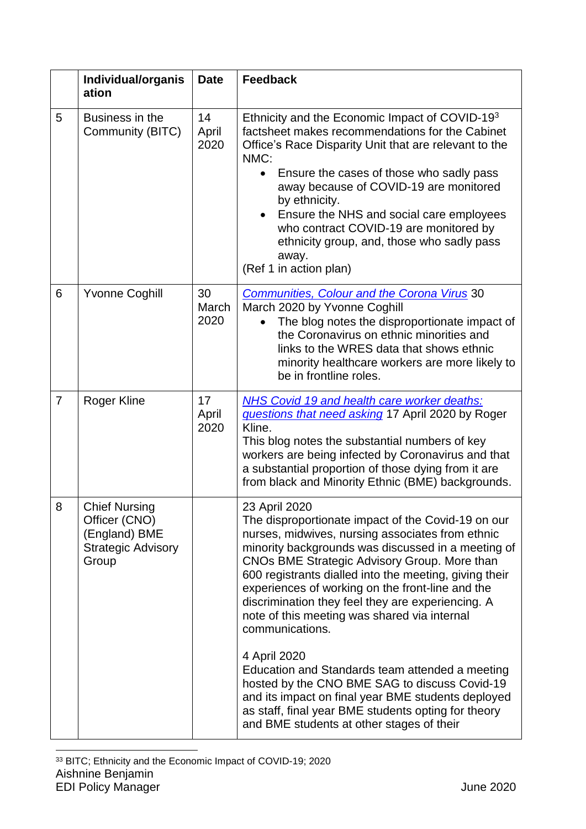|                | Individual/organis<br>ation                                                                  | <b>Date</b>         | <b>Feedback</b>                                                                                                                                                                                                                                                                                                                                                                                                                                                     |  |
|----------------|----------------------------------------------------------------------------------------------|---------------------|---------------------------------------------------------------------------------------------------------------------------------------------------------------------------------------------------------------------------------------------------------------------------------------------------------------------------------------------------------------------------------------------------------------------------------------------------------------------|--|
| 5              | Business in the<br>Community (BITC)                                                          | 14<br>April<br>2020 | Ethnicity and the Economic Impact of COVID-193<br>factsheet makes recommendations for the Cabinet<br>Office's Race Disparity Unit that are relevant to the<br>NMC:<br>Ensure the cases of those who sadly pass<br>away because of COVID-19 are monitored<br>by ethnicity.<br>Ensure the NHS and social care employees<br>who contract COVID-19 are monitored by<br>ethnicity group, and, those who sadly pass<br>away.<br>(Ref 1 in action plan)                    |  |
| 6              | <b>Yvonne Coghill</b>                                                                        | 30<br>March<br>2020 | <b>Communities, Colour and the Corona Virus 30</b><br>March 2020 by Yvonne Coghill<br>The blog notes the disproportionate impact of<br>the Coronavirus on ethnic minorities and<br>links to the WRES data that shows ethnic<br>minority healthcare workers are more likely to<br>be in frontline roles.                                                                                                                                                             |  |
| $\overline{7}$ | <b>Roger Kline</b>                                                                           | 17<br>April<br>2020 | <b>NHS Covid 19 and health care worker deaths:</b><br>questions that need asking 17 April 2020 by Roger<br>Kline.<br>This blog notes the substantial numbers of key<br>workers are being infected by Coronavirus and that<br>a substantial proportion of those dying from it are<br>from black and Minority Ethnic (BME) backgrounds.                                                                                                                               |  |
| 8              | <b>Chief Nursing</b><br>Officer (CNO)<br>(England) BME<br><b>Strategic Advisory</b><br>Group |                     | 23 April 2020<br>The disproportionate impact of the Covid-19 on our<br>nurses, midwives, nursing associates from ethnic<br>minority backgrounds was discussed in a meeting of<br>CNOs BME Strategic Advisory Group. More than<br>600 registrants dialled into the meeting, giving their<br>experiences of working on the front-line and the<br>discrimination they feel they are experiencing. A<br>note of this meeting was shared via internal<br>communications. |  |
|                |                                                                                              |                     | 4 April 2020<br>Education and Standards team attended a meeting<br>hosted by the CNO BME SAG to discuss Covid-19<br>and its impact on final year BME students deployed<br>as staff, final year BME students opting for theory<br>and BME students at other stages of their                                                                                                                                                                                          |  |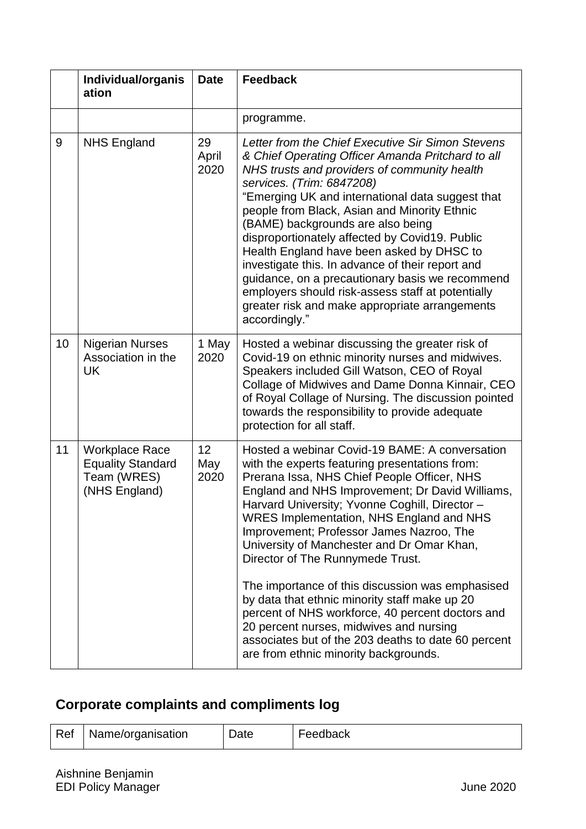|    | Individual/organis<br>ation                                                       | <b>Date</b>                    | <b>Feedback</b>                                                                                                                                                                                                                                                                                                                                                                                                                                                                                                                                                                                                                                            |  |
|----|-----------------------------------------------------------------------------------|--------------------------------|------------------------------------------------------------------------------------------------------------------------------------------------------------------------------------------------------------------------------------------------------------------------------------------------------------------------------------------------------------------------------------------------------------------------------------------------------------------------------------------------------------------------------------------------------------------------------------------------------------------------------------------------------------|--|
|    |                                                                                   |                                | programme.                                                                                                                                                                                                                                                                                                                                                                                                                                                                                                                                                                                                                                                 |  |
| 9  | <b>NHS England</b>                                                                | 29<br>April<br>2020            | Letter from the Chief Executive Sir Simon Stevens<br>& Chief Operating Officer Amanda Pritchard to all<br>NHS trusts and providers of community health<br>services. (Trim: 6847208)<br>"Emerging UK and international data suggest that<br>people from Black, Asian and Minority Ethnic<br>(BAME) backgrounds are also being<br>disproportionately affected by Covid19. Public<br>Health England have been asked by DHSC to<br>investigate this. In advance of their report and<br>guidance, on a precautionary basis we recommend<br>employers should risk-assess staff at potentially<br>greater risk and make appropriate arrangements<br>accordingly." |  |
| 10 | <b>Nigerian Nurses</b><br>Association in the<br><b>UK</b>                         | 1 May<br>2020                  | Hosted a webinar discussing the greater risk of<br>Covid-19 on ethnic minority nurses and midwives.<br>Speakers included Gill Watson, CEO of Royal<br>Collage of Midwives and Dame Donna Kinnair, CEO<br>of Royal Collage of Nursing. The discussion pointed<br>towards the responsibility to provide adequate<br>protection for all staff.                                                                                                                                                                                                                                                                                                                |  |
| 11 | <b>Workplace Race</b><br><b>Equality Standard</b><br>Team (WRES)<br>(NHS England) | 12 <sub>2</sub><br>May<br>2020 | Hosted a webinar Covid-19 BAME: A conversation<br>with the experts featuring presentations from:<br>Prerana Issa, NHS Chief People Officer, NHS<br>England and NHS Improvement; Dr David Williams,<br>Harvard University; Yvonne Coghill, Director -<br><b>WRES Implementation, NHS England and NHS</b><br>Improvement; Professor James Nazroo, The<br>University of Manchester and Dr Omar Khan,<br>Director of The Runnymede Trust.<br>The importance of this discussion was emphasised                                                                                                                                                                  |  |
|    |                                                                                   |                                | by data that ethnic minority staff make up 20<br>percent of NHS workforce, 40 percent doctors and<br>20 percent nurses, midwives and nursing<br>associates but of the 203 deaths to date 60 percent<br>are from ethnic minority backgrounds.                                                                                                                                                                                                                                                                                                                                                                                                               |  |

# <span id="page-15-0"></span>**Corporate complaints and compliments log**

| Ref   Name/organisation | Date | Feedback |
|-------------------------|------|----------|
|                         |      |          |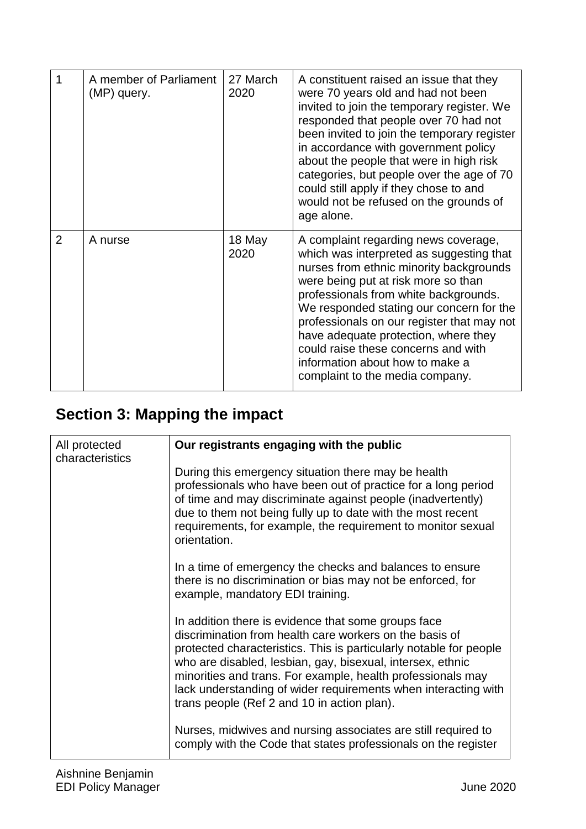| 1              | A member of Parliament<br>(MP) query. | 27 March<br>2020 | A constituent raised an issue that they<br>were 70 years old and had not been<br>invited to join the temporary register. We<br>responded that people over 70 had not<br>been invited to join the temporary register<br>in accordance with government policy<br>about the people that were in high risk<br>categories, but people over the age of 70<br>could still apply if they chose to and<br>would not be refused on the grounds of<br>age alone.      |
|----------------|---------------------------------------|------------------|------------------------------------------------------------------------------------------------------------------------------------------------------------------------------------------------------------------------------------------------------------------------------------------------------------------------------------------------------------------------------------------------------------------------------------------------------------|
| $\overline{2}$ | A nurse                               | 18 May<br>2020   | A complaint regarding news coverage,<br>which was interpreted as suggesting that<br>nurses from ethnic minority backgrounds<br>were being put at risk more so than<br>professionals from white backgrounds.<br>We responded stating our concern for the<br>professionals on our register that may not<br>have adequate protection, where they<br>could raise these concerns and with<br>information about how to make a<br>complaint to the media company. |

# <span id="page-16-0"></span>**Section 3: Mapping the impact**

| All protected<br>characteristics | Our registrants engaging with the public                                                                                                                                                                                                                                                                                                                                                                                           |
|----------------------------------|------------------------------------------------------------------------------------------------------------------------------------------------------------------------------------------------------------------------------------------------------------------------------------------------------------------------------------------------------------------------------------------------------------------------------------|
|                                  | During this emergency situation there may be health<br>professionals who have been out of practice for a long period<br>of time and may discriminate against people (inadvertently)<br>due to them not being fully up to date with the most recent<br>requirements, for example, the requirement to monitor sexual<br>orientation.                                                                                                 |
|                                  | In a time of emergency the checks and balances to ensure<br>there is no discrimination or bias may not be enforced, for<br>example, mandatory EDI training.                                                                                                                                                                                                                                                                        |
|                                  | In addition there is evidence that some groups face<br>discrimination from health care workers on the basis of<br>protected characteristics. This is particularly notable for people<br>who are disabled, lesbian, gay, bisexual, intersex, ethnic<br>minorities and trans. For example, health professionals may<br>lack understanding of wider requirements when interacting with<br>trans people (Ref 2 and 10 in action plan). |
|                                  | Nurses, midwives and nursing associates are still required to<br>comply with the Code that states professionals on the register                                                                                                                                                                                                                                                                                                    |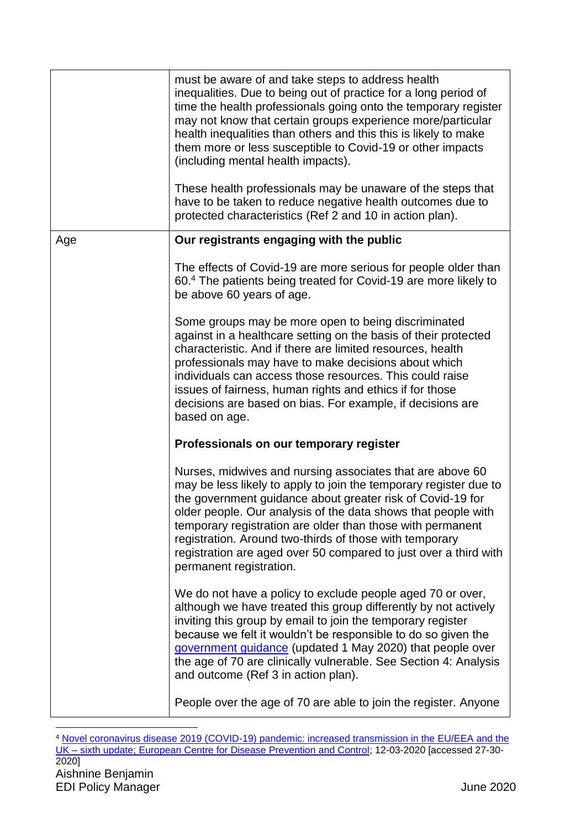|     | must be aware of and take steps to address health<br>inequalities. Due to being out of practice for a long period of<br>time the health professionals going onto the temporary register<br>may not know that certain groups experience more/particular<br>health inequalities than others and this this is likely to make<br>them more or less susceptible to Covid-19 or other impacts<br>(including mental health impacts).<br>These health professionals may be unaware of the steps that |
|-----|----------------------------------------------------------------------------------------------------------------------------------------------------------------------------------------------------------------------------------------------------------------------------------------------------------------------------------------------------------------------------------------------------------------------------------------------------------------------------------------------|
|     | have to be taken to reduce negative health outcomes due to<br>protected characteristics (Ref 2 and 10 in action plan).                                                                                                                                                                                                                                                                                                                                                                       |
| Age | Our registrants engaging with the public                                                                                                                                                                                                                                                                                                                                                                                                                                                     |
|     | The effects of Covid-19 are more serious for people older than<br>60.4 The patients being treated for Covid-19 are more likely to<br>be above 60 years of age.                                                                                                                                                                                                                                                                                                                               |
|     | Some groups may be more open to being discriminated<br>against in a healthcare setting on the basis of their protected<br>characteristic. And if there are limited resources, health<br>professionals may have to make decisions about which<br>individuals can access those resources. This could raise<br>issues of fairness, human rights and ethics if for those<br>decisions are based on bias. For example, if decisions are<br>based on age.                                          |
|     | Professionals on our temporary register                                                                                                                                                                                                                                                                                                                                                                                                                                                      |
|     | Nurses, midwives and nursing associates that are above 60<br>may be less likely to apply to join the temporary register due to<br>the government guidance about greater risk of Covid-19 for<br>older people. Our analysis of the data shows that people with<br>temporary registration are older than those with permanent<br>registration. Around two-thirds of those with temporary<br>registration are aged over 50 compared to just over a third with<br>permanent registration.        |
|     | We do not have a policy to exclude people aged 70 or over,<br>although we have treated this group differently by not actively<br>inviting this group by email to join the temporary register<br>because we felt it wouldn't be responsible to do so given the<br>government guidance (updated 1 May 2020) that people over<br>the age of 70 are clinically vulnerable. See Section 4: Analysis<br>and outcome (Ref 3 in action plan).                                                        |
|     | People over the age of 70 are able to join the register. Anyone                                                                                                                                                                                                                                                                                                                                                                                                                              |

Aishnine Benjamin EDI Policy Manager **Access 15 of 46 of 46 of 46 of 46 of 46 of 46 of 46 of 46 of 46 of 46 of 46 of 46 of 46 of 46** 1 <sup>4</sup> [Novel coronavirus disease 2019 \(COVID-19\) pandemic: increased transmission in the EU/EEA and the](https://www.ecdc.europa.eu/sites/default/files/documents/RRA-sixth-update-Outbreak-of-novel-coronavirus-disease-2019-COVID-19.pdf)  UK – [sixth update; European Centre for Disease Prevention and Control;](https://www.ecdc.europa.eu/sites/default/files/documents/RRA-sixth-update-Outbreak-of-novel-coronavirus-disease-2019-COVID-19.pdf) 12-03-2020 [accessed 27-30- 2020]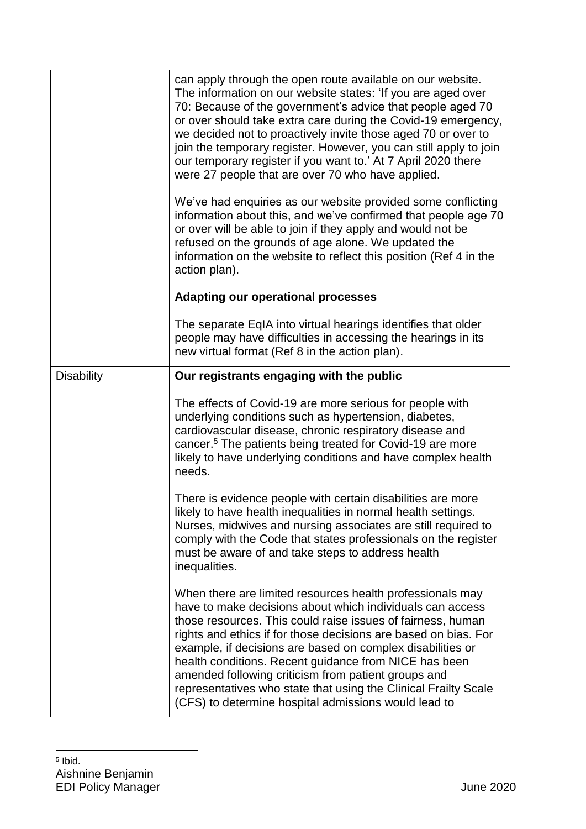|                   | can apply through the open route available on our website.<br>The information on our website states: 'If you are aged over<br>70: Because of the government's advice that people aged 70<br>or over should take extra care during the Covid-19 emergency,<br>we decided not to proactively invite those aged 70 or over to<br>join the temporary register. However, you can still apply to join<br>our temporary register if you want to.' At 7 April 2020 there<br>were 27 people that are over 70 who have applied.                                             |
|-------------------|-------------------------------------------------------------------------------------------------------------------------------------------------------------------------------------------------------------------------------------------------------------------------------------------------------------------------------------------------------------------------------------------------------------------------------------------------------------------------------------------------------------------------------------------------------------------|
|                   | We've had enquiries as our website provided some conflicting<br>information about this, and we've confirmed that people age 70<br>or over will be able to join if they apply and would not be<br>refused on the grounds of age alone. We updated the<br>information on the website to reflect this position (Ref 4 in the<br>action plan).                                                                                                                                                                                                                        |
|                   | <b>Adapting our operational processes</b>                                                                                                                                                                                                                                                                                                                                                                                                                                                                                                                         |
|                   | The separate EqIA into virtual hearings identifies that older<br>people may have difficulties in accessing the hearings in its<br>new virtual format (Ref 8 in the action plan).                                                                                                                                                                                                                                                                                                                                                                                  |
| <b>Disability</b> | Our registrants engaging with the public                                                                                                                                                                                                                                                                                                                                                                                                                                                                                                                          |
|                   | The effects of Covid-19 are more serious for people with<br>underlying conditions such as hypertension, diabetes,<br>cardiovascular disease, chronic respiratory disease and<br>cancer. <sup>5</sup> The patients being treated for Covid-19 are more<br>likely to have underlying conditions and have complex health<br>needs.                                                                                                                                                                                                                                   |
|                   | There is evidence people with certain disabilities are more<br>likely to have health inequalities in normal health settings.<br>Nurses, midwives and nursing associates are still required to<br>comply with the Code that states professionals on the register<br>must be aware of and take steps to address health<br>inequalities.                                                                                                                                                                                                                             |
|                   | When there are limited resources health professionals may<br>have to make decisions about which individuals can access<br>those resources. This could raise issues of fairness, human<br>rights and ethics if for those decisions are based on bias. For<br>example, if decisions are based on complex disabilities or<br>health conditions. Recent guidance from NICE has been<br>amended following criticism from patient groups and<br>representatives who state that using the Clinical Frailty Scale<br>(CFS) to determine hospital admissions would lead to |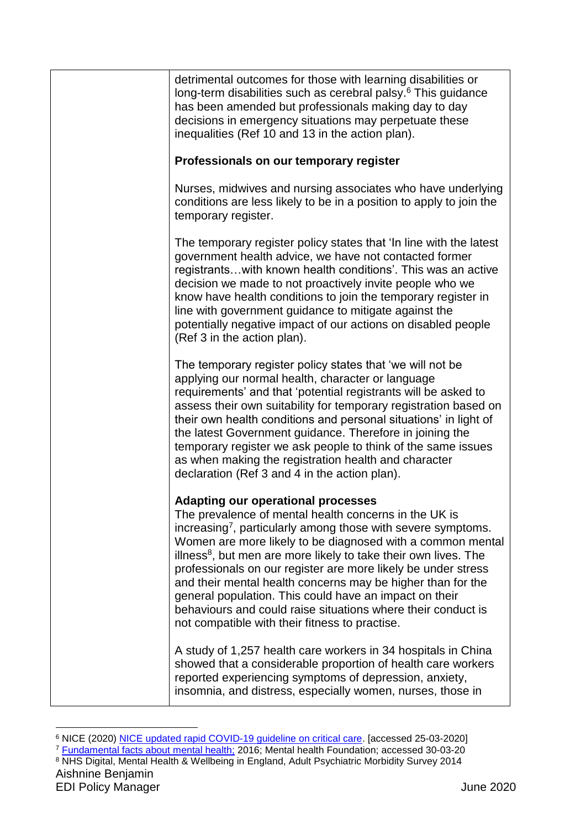| detrimental outcomes for those with learning disabilities or<br>long-term disabilities such as cerebral palsy. <sup>6</sup> This guidance<br>has been amended but professionals making day to day<br>decisions in emergency situations may perpetuate these<br>inequalities (Ref 10 and 13 in the action plan).                                                                                                                                                                                                                                                                                                                         |
|-----------------------------------------------------------------------------------------------------------------------------------------------------------------------------------------------------------------------------------------------------------------------------------------------------------------------------------------------------------------------------------------------------------------------------------------------------------------------------------------------------------------------------------------------------------------------------------------------------------------------------------------|
| Professionals on our temporary register                                                                                                                                                                                                                                                                                                                                                                                                                                                                                                                                                                                                 |
| Nurses, midwives and nursing associates who have underlying<br>conditions are less likely to be in a position to apply to join the<br>temporary register.                                                                                                                                                                                                                                                                                                                                                                                                                                                                               |
| The temporary register policy states that 'In line with the latest<br>government health advice, we have not contacted former<br>registrants with known health conditions'. This was an active<br>decision we made to not proactively invite people who we<br>know have health conditions to join the temporary register in<br>line with government guidance to mitigate against the<br>potentially negative impact of our actions on disabled people<br>(Ref 3 in the action plan).                                                                                                                                                     |
| The temporary register policy states that 'we will not be<br>applying our normal health, character or language<br>requirements' and that 'potential registrants will be asked to<br>assess their own suitability for temporary registration based on<br>their own health conditions and personal situations' in light of<br>the latest Government guidance. Therefore in joining the<br>temporary register we ask people to think of the same issues<br>as when making the registration health and character<br>declaration (Ref 3 and 4 in the action plan).                                                                           |
| <b>Adapting our operational processes</b><br>The prevalence of mental health concerns in the UK is<br>increasing <sup>7</sup> , particularly among those with severe symptoms.<br>Women are more likely to be diagnosed with a common mental<br>illness <sup>8</sup> , but men are more likely to take their own lives. The<br>professionals on our register are more likely be under stress<br>and their mental health concerns may be higher than for the<br>general population. This could have an impact on their<br>behaviours and could raise situations where their conduct is<br>not compatible with their fitness to practise. |
| A study of 1,257 health care workers in 34 hospitals in China<br>showed that a considerable proportion of health care workers<br>reported experiencing symptoms of depression, anxiety,<br>insomnia, and distress, especially women, nurses, those in                                                                                                                                                                                                                                                                                                                                                                                   |

<sup>1</sup> <sup>6</sup> NICE (2020) [NICE updated rapid COVID-19](https://www.nice.org.uk/news/article/nice-updates-rapid-covid-19-guideline-on-critical-care) guideline on critical care. [accessed 25-03-2020]

<sup>&</sup>lt;sup>7</sup> [Fundamental facts about mental health;](https://www.mentalhealth.org.uk/publications/fundamental-facts-about-mental-health-2016) 2016; Mental health Foundation; accessed 30-03-20

Aishnine Benjamin 8 NHS Digital, Mental Health & Wellbeing in England, Adult Psychiatric Morbidity Survey 2014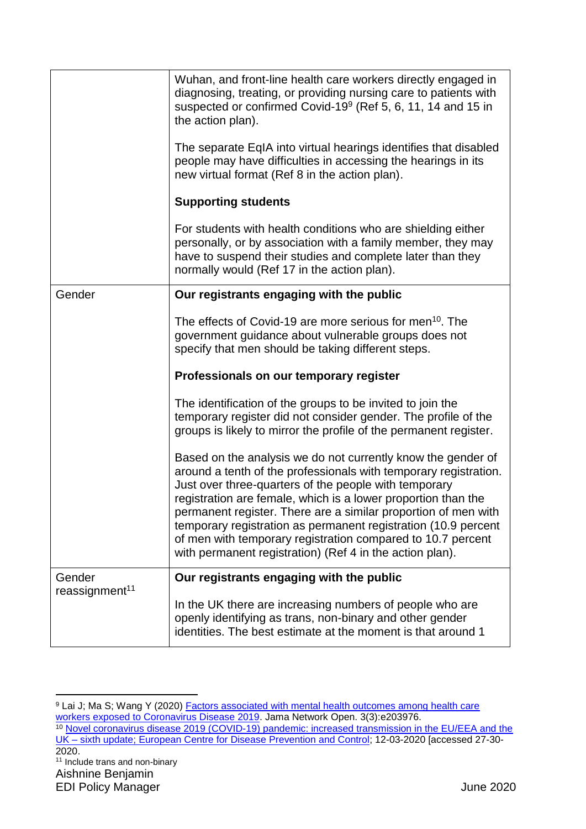|                                      | Wuhan, and front-line health care workers directly engaged in<br>diagnosing, treating, or providing nursing care to patients with<br>suspected or confirmed Covid-19 <sup>9</sup> (Ref 5, 6, 11, 14 and 15 in<br>the action plan).                                                                                                                                                                                                                                                                                        |
|--------------------------------------|---------------------------------------------------------------------------------------------------------------------------------------------------------------------------------------------------------------------------------------------------------------------------------------------------------------------------------------------------------------------------------------------------------------------------------------------------------------------------------------------------------------------------|
|                                      | The separate EqIA into virtual hearings identifies that disabled<br>people may have difficulties in accessing the hearings in its<br>new virtual format (Ref 8 in the action plan).                                                                                                                                                                                                                                                                                                                                       |
|                                      | <b>Supporting students</b>                                                                                                                                                                                                                                                                                                                                                                                                                                                                                                |
|                                      | For students with health conditions who are shielding either<br>personally, or by association with a family member, they may<br>have to suspend their studies and complete later than they<br>normally would (Ref 17 in the action plan).                                                                                                                                                                                                                                                                                 |
| Gender                               | Our registrants engaging with the public                                                                                                                                                                                                                                                                                                                                                                                                                                                                                  |
|                                      | The effects of Covid-19 are more serious for men <sup>10</sup> . The<br>government guidance about vulnerable groups does not<br>specify that men should be taking different steps.                                                                                                                                                                                                                                                                                                                                        |
|                                      | Professionals on our temporary register                                                                                                                                                                                                                                                                                                                                                                                                                                                                                   |
|                                      | The identification of the groups to be invited to join the<br>temporary register did not consider gender. The profile of the<br>groups is likely to mirror the profile of the permanent register.                                                                                                                                                                                                                                                                                                                         |
|                                      | Based on the analysis we do not currently know the gender of<br>around a tenth of the professionals with temporary registration.<br>Just over three-quarters of the people with temporary<br>registration are female, which is a lower proportion than the<br>permanent register. There are a similar proportion of men with<br>temporary registration as permanent registration (10.9 percent<br>of men with temporary registration compared to 10.7 percent<br>with permanent registration) (Ref 4 in the action plan). |
| Gender<br>reassignment <sup>11</sup> | Our registrants engaging with the public                                                                                                                                                                                                                                                                                                                                                                                                                                                                                  |
|                                      | In the UK there are increasing numbers of people who are<br>openly identifying as trans, non-binary and other gender<br>identities. The best estimate at the moment is that around 1                                                                                                                                                                                                                                                                                                                                      |
|                                      |                                                                                                                                                                                                                                                                                                                                                                                                                                                                                                                           |

1 <sup>9</sup> Lai J; Ma S; Wang Y (2020) [Factors associated with mental health outcomes among health care](https://jamanetwork.com/journals/jamanetworkopen/fullarticle/2763229)  [workers exposed to Coronavirus Disease 2019.](https://jamanetwork.com/journals/jamanetworkopen/fullarticle/2763229) Jama Network Open. 3(3):e203976. <sup>10</sup> Novel coronavirus disease 2019 (COVID-19) pandemic: increased transmission in the EU/EEA and the UK – [sixth update; European Centre for Disease Prevention and Control;](https://www.ecdc.europa.eu/sites/default/files/documents/RRA-sixth-update-Outbreak-of-novel-coronavirus-disease-2019-COVID-19.pdf) 12-03-2020 [accessed 27-30- 2020. <sup>11</sup> Include trans and non-binary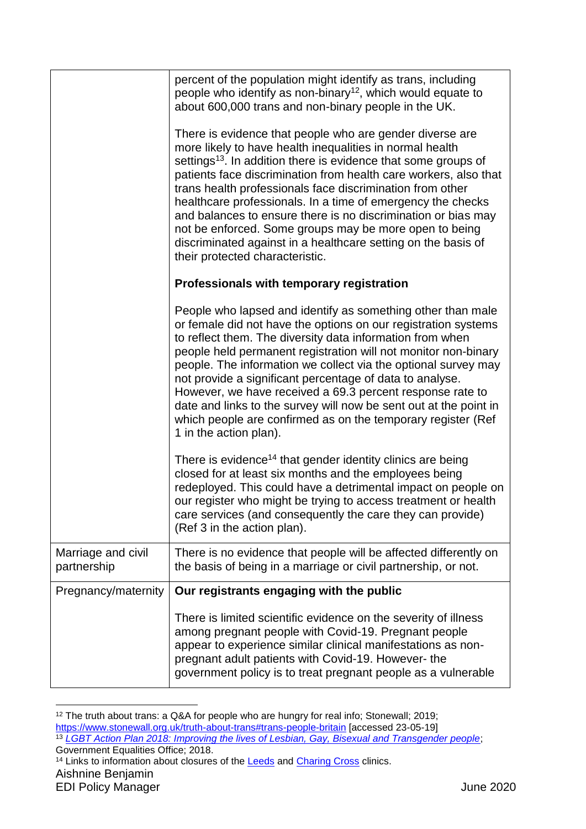|                                   | percent of the population might identify as trans, including<br>people who identify as non-binary <sup>12</sup> , which would equate to<br>about 600,000 trans and non-binary people in the UK.                                                                                                                                                                                                                                                                                                                                                                                                                                   |
|-----------------------------------|-----------------------------------------------------------------------------------------------------------------------------------------------------------------------------------------------------------------------------------------------------------------------------------------------------------------------------------------------------------------------------------------------------------------------------------------------------------------------------------------------------------------------------------------------------------------------------------------------------------------------------------|
|                                   | There is evidence that people who are gender diverse are<br>more likely to have health inequalities in normal health<br>settings <sup>13</sup> . In addition there is evidence that some groups of<br>patients face discrimination from health care workers, also that<br>trans health professionals face discrimination from other<br>healthcare professionals. In a time of emergency the checks<br>and balances to ensure there is no discrimination or bias may<br>not be enforced. Some groups may be more open to being<br>discriminated against in a healthcare setting on the basis of<br>their protected characteristic. |
|                                   | Professionals with temporary registration                                                                                                                                                                                                                                                                                                                                                                                                                                                                                                                                                                                         |
|                                   | People who lapsed and identify as something other than male<br>or female did not have the options on our registration systems<br>to reflect them. The diversity data information from when<br>people held permanent registration will not monitor non-binary<br>people. The information we collect via the optional survey may<br>not provide a significant percentage of data to analyse.<br>However, we have received a 69.3 percent response rate to<br>date and links to the survey will now be sent out at the point in<br>which people are confirmed as on the temporary register (Ref<br>1 in the action plan).            |
|                                   | There is evidence <sup>14</sup> that gender identity clinics are being<br>closed for at least six months and the employees being<br>redeployed. This could have a detrimental impact on people on<br>our register who might be trying to access treatment or health<br>care services (and consequently the care they can provide)<br>(Ref 3 in the action plan).                                                                                                                                                                                                                                                                  |
| Marriage and civil<br>partnership | There is no evidence that people will be affected differently on<br>the basis of being in a marriage or civil partnership, or not.                                                                                                                                                                                                                                                                                                                                                                                                                                                                                                |
| Pregnancy/maternity               | Our registrants engaging with the public                                                                                                                                                                                                                                                                                                                                                                                                                                                                                                                                                                                          |
|                                   | There is limited scientific evidence on the severity of illness<br>among pregnant people with Covid-19. Pregnant people<br>appear to experience similar clinical manifestations as non-<br>pregnant adult patients with Covid-19. However- the<br>government policy is to treat pregnant people as a vulnerable                                                                                                                                                                                                                                                                                                                   |

<sup>12</sup> The truth about trans: a Q&A for people who are hungry for real info; Stonewall; 2019; <https://www.stonewall.org.uk/truth-about-trans#trans-people-britain> [accessed 23-05-19] <sup>13</sup> *[LGBT Action Plan 2018: Improving the lives of Lesbian, Gay, Bisexual and Transgender people](https://www.gov.uk/government/publications/lgbt-action-plan-2018-improving-the-lives-of-lesbian-gay-bisexual-and-transgender-people)*; Government Equalities Office; 2018. <sup>14</sup> Links to information about closures of the **Leeds** and **Charing Cross** clinics.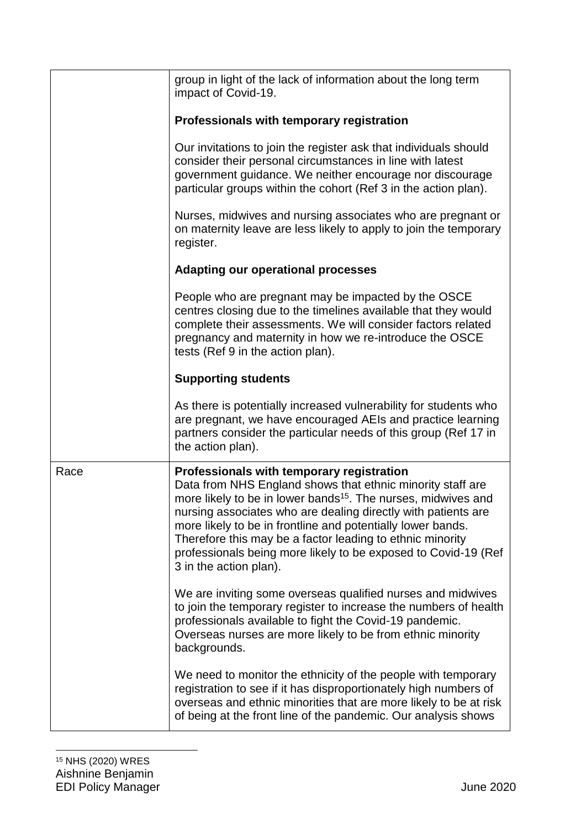|      | group in light of the lack of information about the long term<br>impact of Covid-19.                                                                                                                                                                                                                                                                                                                                                                                          |
|------|-------------------------------------------------------------------------------------------------------------------------------------------------------------------------------------------------------------------------------------------------------------------------------------------------------------------------------------------------------------------------------------------------------------------------------------------------------------------------------|
|      | Professionals with temporary registration                                                                                                                                                                                                                                                                                                                                                                                                                                     |
|      | Our invitations to join the register ask that individuals should<br>consider their personal circumstances in line with latest<br>government guidance. We neither encourage nor discourage<br>particular groups within the cohort (Ref 3 in the action plan).                                                                                                                                                                                                                  |
|      | Nurses, midwives and nursing associates who are pregnant or<br>on maternity leave are less likely to apply to join the temporary<br>register.                                                                                                                                                                                                                                                                                                                                 |
|      | <b>Adapting our operational processes</b>                                                                                                                                                                                                                                                                                                                                                                                                                                     |
|      | People who are pregnant may be impacted by the OSCE<br>centres closing due to the timelines available that they would<br>complete their assessments. We will consider factors related<br>pregnancy and maternity in how we re-introduce the OSCE<br>tests (Ref 9 in the action plan).                                                                                                                                                                                         |
|      | <b>Supporting students</b>                                                                                                                                                                                                                                                                                                                                                                                                                                                    |
|      | As there is potentially increased vulnerability for students who<br>are pregnant, we have encouraged AEIs and practice learning<br>partners consider the particular needs of this group (Ref 17 in<br>the action plan).                                                                                                                                                                                                                                                       |
| Race | Professionals with temporary registration<br>Data from NHS England shows that ethnic minority staff are<br>more likely to be in lower bands <sup>15</sup> . The nurses, midwives and<br>nursing associates who are dealing directly with patients are<br>more likely to be in frontline and potentially lower bands.<br>Therefore this may be a factor leading to ethnic minority<br>professionals being more likely to be exposed to Covid-19 (Ref<br>3 in the action plan). |
|      | We are inviting some overseas qualified nurses and midwives<br>to join the temporary register to increase the numbers of health<br>professionals available to fight the Covid-19 pandemic.<br>Overseas nurses are more likely to be from ethnic minority<br>backgrounds.                                                                                                                                                                                                      |
|      | We need to monitor the ethnicity of the people with temporary<br>registration to see if it has disproportionately high numbers of<br>overseas and ethnic minorities that are more likely to be at risk<br>of being at the front line of the pandemic. Our analysis shows                                                                                                                                                                                                      |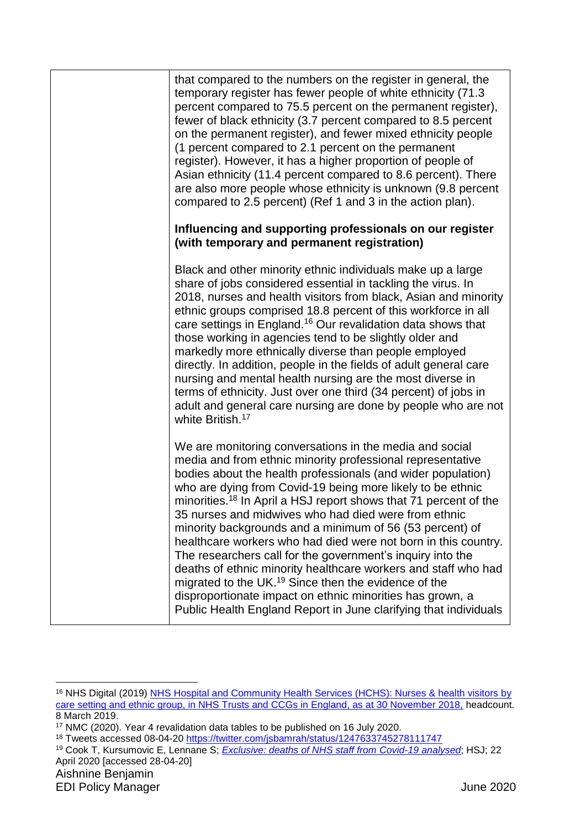| that compared to the numbers on the register in general, the<br>temporary register has fewer people of white ethnicity (71.3)<br>percent compared to 75.5 percent on the permanent register),<br>fewer of black ethnicity (3.7 percent compared to 8.5 percent<br>on the permanent register), and fewer mixed ethnicity people<br>(1 percent compared to 2.1 percent on the permanent<br>register). However, it has a higher proportion of people of<br>Asian ethnicity (11.4 percent compared to 8.6 percent). There<br>are also more people whose ethnicity is unknown (9.8 percent<br>compared to 2.5 percent) (Ref 1 and 3 in the action plan).                                                                                                                                                                                                            |
|----------------------------------------------------------------------------------------------------------------------------------------------------------------------------------------------------------------------------------------------------------------------------------------------------------------------------------------------------------------------------------------------------------------------------------------------------------------------------------------------------------------------------------------------------------------------------------------------------------------------------------------------------------------------------------------------------------------------------------------------------------------------------------------------------------------------------------------------------------------|
| Influencing and supporting professionals on our register<br>(with temporary and permanent registration)                                                                                                                                                                                                                                                                                                                                                                                                                                                                                                                                                                                                                                                                                                                                                        |
| Black and other minority ethnic individuals make up a large<br>share of jobs considered essential in tackling the virus. In<br>2018, nurses and health visitors from black, Asian and minority<br>ethnic groups comprised 18.8 percent of this workforce in all<br>care settings in England. <sup>16</sup> Our revalidation data shows that<br>those working in agencies tend to be slightly older and<br>markedly more ethnically diverse than people employed<br>directly. In addition, people in the fields of adult general care<br>nursing and mental health nursing are the most diverse in<br>terms of ethnicity. Just over one third (34 percent) of jobs in<br>adult and general care nursing are done by people who are not<br>white British. <sup>17</sup>                                                                                          |
| We are monitoring conversations in the media and social<br>media and from ethnic minority professional representative<br>bodies about the health professionals (and wider population)<br>who are dying from Covid-19 being more likely to be ethnic<br>minorities. <sup>18</sup> In April a HSJ report shows that 71 percent of the<br>35 nurses and midwives who had died were from ethnic<br>minority backgrounds and a minimum of 56 (53 percent) of<br>healthcare workers who had died were not born in this country.<br>The researchers call for the government's inquiry into the<br>deaths of ethnic minority healthcare workers and staff who had<br>migrated to the UK. <sup>19</sup> Since then the evidence of the<br>disproportionate impact on ethnic minorities has grown, a<br>Public Health England Report in June clarifying that individuals |

<sup>16</sup> NHS Digital (2019) [NHS Hospital and Community Health Services \(HCHS\): Nurses & health visitors by](https://digital.nhs.uk/data-and-information/find-data-and-publications/supplementary-information/2019-supplementary-information-files/staff-ethnicity/nurses--health-visitors-by-care-setting-and-ethnic-group-november-2018)  [care setting and ethnic group, in NHS Trusts and CCGs in England, as at 30 November 2018,](https://digital.nhs.uk/data-and-information/find-data-and-publications/supplementary-information/2019-supplementary-information-files/staff-ethnicity/nurses--health-visitors-by-care-setting-and-ethnic-group-november-2018) headcount. 8 March 2019.

<sup>17</sup> NMC (2020). Year 4 revalidation data tables to be published on 16 July 2020.

<sup>18</sup> Tweets accessed 08-04-20<https://twitter.com/jsbamrah/status/1247633745278111747>

<sup>19</sup> Cook T, Kursumovic E, Lennane S; *[Exclusive: deaths of NHS staff from Covid-19 analysed](https://www.hsj.co.uk/exclusive-deaths-of-nhs-staff-from-covid-19-analysed/7027471.article)*; HSJ; 22 April 2020 [accessed 28-04-20]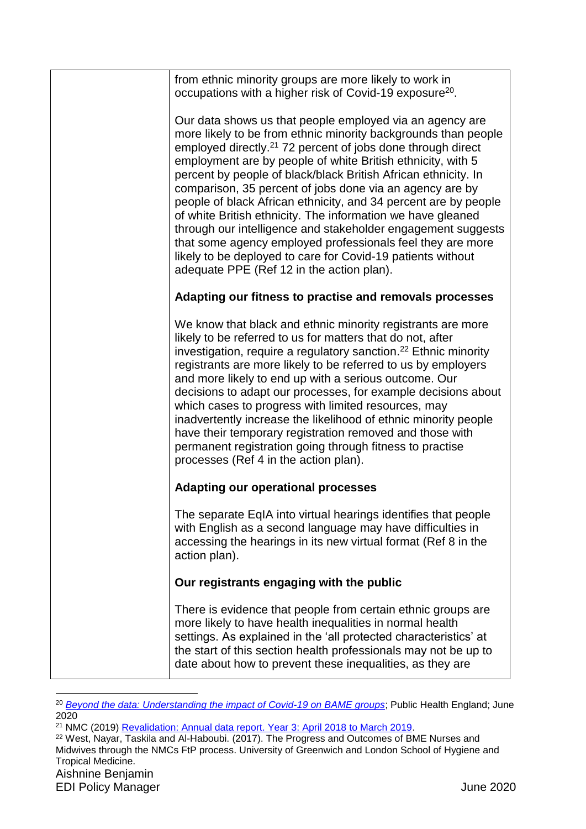| from ethnic minority groups are more likely to work in<br>occupations with a higher risk of Covid-19 exposure <sup>20</sup> .                                                                                                                                                                                                                                                                                                                                                                                                                                                                                                                                                                                                                                                  |
|--------------------------------------------------------------------------------------------------------------------------------------------------------------------------------------------------------------------------------------------------------------------------------------------------------------------------------------------------------------------------------------------------------------------------------------------------------------------------------------------------------------------------------------------------------------------------------------------------------------------------------------------------------------------------------------------------------------------------------------------------------------------------------|
| Our data shows us that people employed via an agency are<br>more likely to be from ethnic minority backgrounds than people<br>employed directly. <sup>21</sup> 72 percent of jobs done through direct<br>employment are by people of white British ethnicity, with 5<br>percent by people of black/black British African ethnicity. In<br>comparison, 35 percent of jobs done via an agency are by<br>people of black African ethnicity, and 34 percent are by people<br>of white British ethnicity. The information we have gleaned<br>through our intelligence and stakeholder engagement suggests<br>that some agency employed professionals feel they are more<br>likely to be deployed to care for Covid-19 patients without<br>adequate PPE (Ref 12 in the action plan). |
| Adapting our fitness to practise and removals processes                                                                                                                                                                                                                                                                                                                                                                                                                                                                                                                                                                                                                                                                                                                        |
| We know that black and ethnic minority registrants are more<br>likely to be referred to us for matters that do not, after<br>investigation, require a regulatory sanction. <sup>22</sup> Ethnic minority<br>registrants are more likely to be referred to us by employers<br>and more likely to end up with a serious outcome. Our<br>decisions to adapt our processes, for example decisions about<br>which cases to progress with limited resources, may<br>inadvertently increase the likelihood of ethnic minority people<br>have their temporary registration removed and those with<br>permanent registration going through fitness to practise<br>processes (Ref 4 in the action plan).                                                                                 |
| <b>Adapting our operational processes</b>                                                                                                                                                                                                                                                                                                                                                                                                                                                                                                                                                                                                                                                                                                                                      |
| The separate EqIA into virtual hearings identifies that people<br>with English as a second language may have difficulties in<br>accessing the hearings in its new virtual format (Ref 8 in the<br>action plan).                                                                                                                                                                                                                                                                                                                                                                                                                                                                                                                                                                |
| Our registrants engaging with the public                                                                                                                                                                                                                                                                                                                                                                                                                                                                                                                                                                                                                                                                                                                                       |
| There is evidence that people from certain ethnic groups are<br>more likely to have health inequalities in normal health<br>settings. As explained in the 'all protected characteristics' at<br>the start of this section health professionals may not be up to<br>date about how to prevent these inequalities, as they are                                                                                                                                                                                                                                                                                                                                                                                                                                                   |

<sup>&</sup>lt;sup>20</sup> *[Beyond the data: Understanding the impact of Covid-19 on BAME groups](https://assets.publishing.service.gov.uk/government/uploads/system/uploads/attachment_data/file/892376/COVID_stakeholder_engagement_synthesis_beyond_the_data.pdf)*; Public Health England; June 2020

<sup>21</sup> NMC (2019) [Revalidation: Annual data report. Year 3: April 2018 to March 2019.](https://www.nmc.org.uk/globalassets/sitedocuments/annual_reports_and_accounts/revalidationreports/revalidation-annual-report-year-3.pdf)

Aishnine Benjamin <sup>22</sup> West, Nayar, Taskila and Al-Haboubi. (2017). The Progress and Outcomes of BME Nurses and Midwives through the NMCs FtP process. University of Greenwich and London School of Hygiene and Tropical Medicine.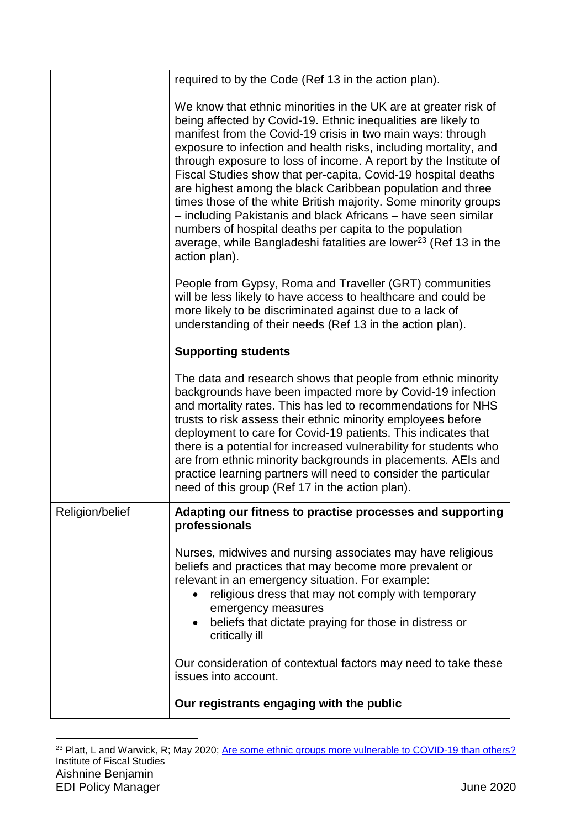|                 | required to by the Code (Ref 13 in the action plan).                                                                                                                                                                                                                                                                                                                                                                                                                                                                                                                                                                                                                                                                                                                   |
|-----------------|------------------------------------------------------------------------------------------------------------------------------------------------------------------------------------------------------------------------------------------------------------------------------------------------------------------------------------------------------------------------------------------------------------------------------------------------------------------------------------------------------------------------------------------------------------------------------------------------------------------------------------------------------------------------------------------------------------------------------------------------------------------------|
|                 | We know that ethnic minorities in the UK are at greater risk of<br>being affected by Covid-19. Ethnic inequalities are likely to<br>manifest from the Covid-19 crisis in two main ways: through<br>exposure to infection and health risks, including mortality, and<br>through exposure to loss of income. A report by the Institute of<br>Fiscal Studies show that per-capita, Covid-19 hospital deaths<br>are highest among the black Caribbean population and three<br>times those of the white British majority. Some minority groups<br>- including Pakistanis and black Africans - have seen similar<br>numbers of hospital deaths per capita to the population<br>average, while Bangladeshi fatalities are lower <sup>23</sup> (Ref 13 in the<br>action plan). |
|                 | People from Gypsy, Roma and Traveller (GRT) communities<br>will be less likely to have access to healthcare and could be<br>more likely to be discriminated against due to a lack of<br>understanding of their needs (Ref 13 in the action plan).                                                                                                                                                                                                                                                                                                                                                                                                                                                                                                                      |
|                 | <b>Supporting students</b>                                                                                                                                                                                                                                                                                                                                                                                                                                                                                                                                                                                                                                                                                                                                             |
|                 | The data and research shows that people from ethnic minority<br>backgrounds have been impacted more by Covid-19 infection<br>and mortality rates. This has led to recommendations for NHS<br>trusts to risk assess their ethnic minority employees before<br>deployment to care for Covid-19 patients. This indicates that<br>there is a potential for increased vulnerability for students who<br>are from ethnic minority backgrounds in placements. AEIs and<br>practice learning partners will need to consider the particular<br>need of this group (Ref 17 in the action plan).                                                                                                                                                                                  |
| Religion/belief | Adapting our fitness to practise processes and supporting<br>professionals                                                                                                                                                                                                                                                                                                                                                                                                                                                                                                                                                                                                                                                                                             |
|                 | Nurses, midwives and nursing associates may have religious<br>beliefs and practices that may become more prevalent or<br>relevant in an emergency situation. For example:<br>religious dress that may not comply with temporary<br>emergency measures<br>beliefs that dictate praying for those in distress or<br>$\bullet$<br>critically ill                                                                                                                                                                                                                                                                                                                                                                                                                          |
|                 | Our consideration of contextual factors may need to take these<br>issues into account.                                                                                                                                                                                                                                                                                                                                                                                                                                                                                                                                                                                                                                                                                 |
|                 | Our registrants engaging with the public                                                                                                                                                                                                                                                                                                                                                                                                                                                                                                                                                                                                                                                                                                                               |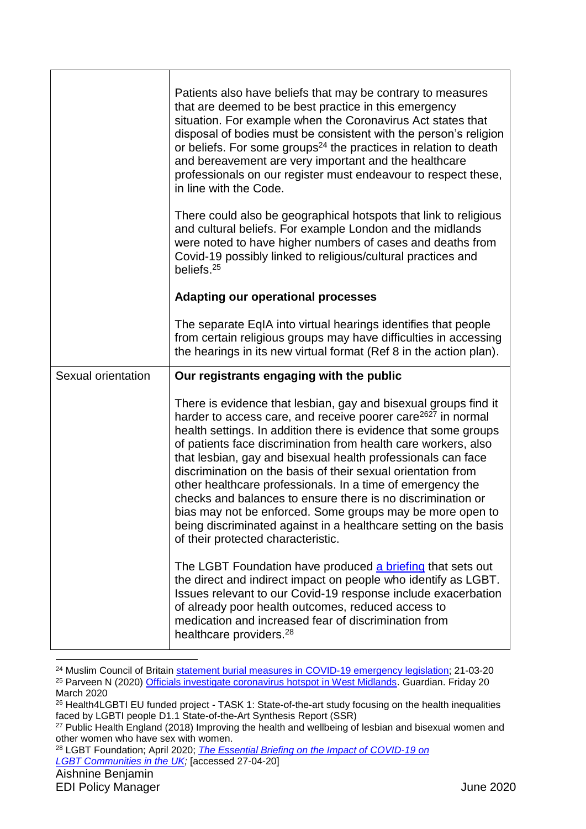|                    | Patients also have beliefs that may be contrary to measures<br>that are deemed to be best practice in this emergency<br>situation. For example when the Coronavirus Act states that<br>disposal of bodies must be consistent with the person's religion<br>or beliefs. For some groups <sup>24</sup> the practices in relation to death<br>and bereavement are very important and the healthcare<br>professionals on our register must endeavour to respect these,<br>in line with the Code.                                                                                                                                                                                                                         |
|--------------------|----------------------------------------------------------------------------------------------------------------------------------------------------------------------------------------------------------------------------------------------------------------------------------------------------------------------------------------------------------------------------------------------------------------------------------------------------------------------------------------------------------------------------------------------------------------------------------------------------------------------------------------------------------------------------------------------------------------------|
|                    | There could also be geographical hotspots that link to religious<br>and cultural beliefs. For example London and the midlands<br>were noted to have higher numbers of cases and deaths from<br>Covid-19 possibly linked to religious/cultural practices and<br>beliefs. <sup>25</sup>                                                                                                                                                                                                                                                                                                                                                                                                                                |
|                    | <b>Adapting our operational processes</b>                                                                                                                                                                                                                                                                                                                                                                                                                                                                                                                                                                                                                                                                            |
|                    | The separate EqIA into virtual hearings identifies that people<br>from certain religious groups may have difficulties in accessing<br>the hearings in its new virtual format (Ref 8 in the action plan).                                                                                                                                                                                                                                                                                                                                                                                                                                                                                                             |
|                    |                                                                                                                                                                                                                                                                                                                                                                                                                                                                                                                                                                                                                                                                                                                      |
| Sexual orientation | Our registrants engaging with the public                                                                                                                                                                                                                                                                                                                                                                                                                                                                                                                                                                                                                                                                             |
|                    | There is evidence that lesbian, gay and bisexual groups find it<br>harder to access care, and receive poorer care <sup>2627</sup> in normal<br>health settings. In addition there is evidence that some groups<br>of patients face discrimination from health care workers, also<br>that lesbian, gay and bisexual health professionals can face<br>discrimination on the basis of their sexual orientation from<br>other healthcare professionals. In a time of emergency the<br>checks and balances to ensure there is no discrimination or<br>bias may not be enforced. Some groups may be more open to<br>being discriminated against in a healthcare setting on the basis<br>of their protected characteristic. |
|                    | The LGBT Foundation have produced a briefing that sets out<br>the direct and indirect impact on people who identify as LGBT.<br>Issues relevant to our Covid-19 response include exacerbation<br>of already poor health outcomes, reduced access to<br>medication and increased fear of discrimination from<br>healthcare providers. <sup>28</sup>                                                                                                                                                                                                                                                                                                                                                                   |

<sup>&</sup>lt;sup>24</sup> Muslim Council of Britain [statement burial measures in COVID-19](https://mcb.org.uk/press-releases/mcb-statement-on-burial-measures-in-covid-19-emergency-legislation/) emergency legislation; 21-03-20 <sup>25</sup> Parveen N (2020) [Officials investigate coronavirus hotspot in West Midlands.](https://www.theguardian.com/world/2020/mar/20/sharp-rise-in-number-of-coronavirus-cases-in-west-midlands) Guardian. Friday 20 March 2020

<sup>28</sup> LGBT Foundation; April 2020; *[The Essential Briefing on the Impact of COVID-19 on](file://///idc01nmcmfpsv01/Gdrive$/AishnineB/Documents/Offline%20Records%20(TL)/Equality%20~%20Strategy%20-%20Equality%20-%20Policy%20and%20Compliance(2)/The%20Essential%20Briefing%20on%20the%20Impact%20of%20COVID-19%20on) [LGBT Communities in the UK;](file://///idc01nmcmfpsv01/Gdrive$/AishnineB/Documents/Offline%20Records%20(TL)/Equality%20~%20Strategy%20-%20Equality%20-%20Policy%20and%20Compliance(2)/The%20Essential%20Briefing%20on%20the%20Impact%20of%20COVID-19%20on)* [accessed 27-04-20]

<sup>26</sup> Health4LGBTI EU funded project - TASK 1: State-of-the-art study focusing on the health inequalities faced by LGBTI people D1.1 State-of-the-Art Synthesis Report (SSR)

<sup>&</sup>lt;sup>27</sup> Public Health England (2018) Improving the health and wellbeing of lesbian and bisexual women and other women who have sex with women.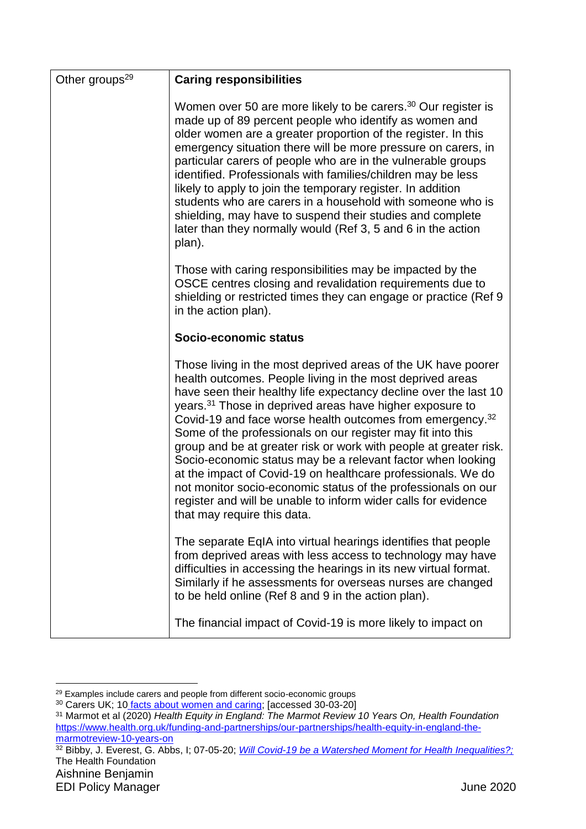| Other groups <sup>29</sup> | <b>Caring responsibilities</b>                                                                                                                                                                                                                                                                                                                                                                                                                                                                                                                                                                                                                                                                                                                                                       |
|----------------------------|--------------------------------------------------------------------------------------------------------------------------------------------------------------------------------------------------------------------------------------------------------------------------------------------------------------------------------------------------------------------------------------------------------------------------------------------------------------------------------------------------------------------------------------------------------------------------------------------------------------------------------------------------------------------------------------------------------------------------------------------------------------------------------------|
|                            | Women over 50 are more likely to be carers. <sup>30</sup> Our register is<br>made up of 89 percent people who identify as women and<br>older women are a greater proportion of the register. In this<br>emergency situation there will be more pressure on carers, in<br>particular carers of people who are in the vulnerable groups<br>identified. Professionals with families/children may be less<br>likely to apply to join the temporary register. In addition<br>students who are carers in a household with someone who is<br>shielding, may have to suspend their studies and complete<br>later than they normally would (Ref 3, 5 and 6 in the action<br>plan).                                                                                                            |
|                            | Those with caring responsibilities may be impacted by the<br>OSCE centres closing and revalidation requirements due to<br>shielding or restricted times they can engage or practice (Ref 9)<br>in the action plan).                                                                                                                                                                                                                                                                                                                                                                                                                                                                                                                                                                  |
|                            | Socio-economic status                                                                                                                                                                                                                                                                                                                                                                                                                                                                                                                                                                                                                                                                                                                                                                |
|                            | Those living in the most deprived areas of the UK have poorer<br>health outcomes. People living in the most deprived areas<br>have seen their healthy life expectancy decline over the last 10<br>years. <sup>31</sup> Those in deprived areas have higher exposure to<br>Covid-19 and face worse health outcomes from emergency. <sup>32</sup><br>Some of the professionals on our register may fit into this<br>group and be at greater risk or work with people at greater risk.<br>Socio-economic status may be a relevant factor when looking<br>at the impact of Covid-19 on healthcare professionals. We do<br>not monitor socio-economic status of the professionals on our<br>register and will be unable to inform wider calls for evidence<br>that may require this data. |
|                            | The separate EqIA into virtual hearings identifies that people<br>from deprived areas with less access to technology may have<br>difficulties in accessing the hearings in its new virtual format.<br>Similarly if he assessments for overseas nurses are changed<br>to be held online (Ref 8 and 9 in the action plan).                                                                                                                                                                                                                                                                                                                                                                                                                                                             |
|                            | The financial impact of Covid-19 is more likely to impact on                                                                                                                                                                                                                                                                                                                                                                                                                                                                                                                                                                                                                                                                                                                         |

<sup>1</sup> <sup>29</sup> Examples include carers and people from different socio-economic groups

<sup>&</sup>lt;sup>30</sup> Carers UK; 10 [facts about women and caring;](https://www.carersuk.org/news-and-campaigns/features/10-facts-about-women-and-caring-in-the-uk-on-international-women-s-day) [accessed 30-03-20]

<sup>31</sup> Marmot et al (2020) *Health Equity in England: The Marmot Review 10 Years On, Health Foundation* [https://www.health.org.uk/funding-and-partnerships/our-partnerships/health-equity-in-england-the](https://www.health.org.uk/funding-and-partnerships/our-partnerships/health-equity-in-england-the-marmotreview-10-years-on)[marmotreview-10-years-on](https://www.health.org.uk/funding-and-partnerships/our-partnerships/health-equity-in-england-the-marmotreview-10-years-on)

<sup>&</sup>lt;sup>32</sup> Bibby, J. Everest, G. Abbs, I; 07-05-20; *[Will Covid-19 be a Watershed Moment for Health Inequalities?;](https://www.health.org.uk/publications/long-reads/will-covid-19-be-a-watershed-moment-for-health-inequalities)* The Health Foundation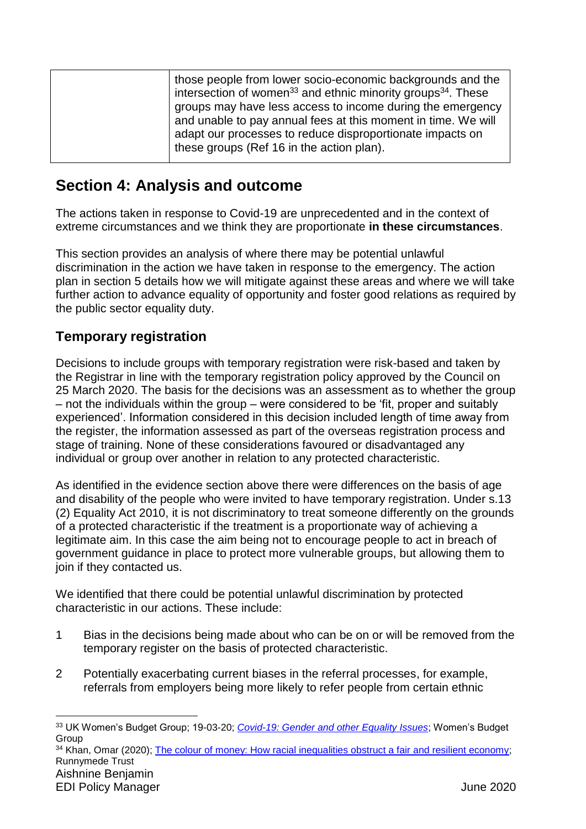# <span id="page-28-0"></span>**Section 4: Analysis and outcome**

The actions taken in response to Covid-19 are unprecedented and in the context of extreme circumstances and we think they are proportionate **in these circumstances**.

This section provides an analysis of where there may be potential unlawful discrimination in the action we have taken in response to the emergency. The action plan in section 5 details how we will mitigate against these areas and where we will take further action to advance equality of opportunity and foster good relations as required by the public sector equality duty.

# **Temporary registration**

Decisions to include groups with temporary registration were risk-based and taken by the Registrar in line with the temporary registration policy approved by the Council on 25 March 2020. The basis for the decisions was an assessment as to whether the group – not the individuals within the group – were considered to be 'fit, proper and suitably experienced'. Information considered in this decision included length of time away from the register, the information assessed as part of the overseas registration process and stage of training. None of these considerations favoured or disadvantaged any individual or group over another in relation to any protected characteristic.

As identified in the evidence section above there were differences on the basis of age and disability of the people who were invited to have temporary registration. Under s.13 (2) Equality Act 2010, it is not discriminatory to treat someone differently on the grounds of a protected characteristic if the treatment is a proportionate way of achieving a legitimate aim. In this case the aim being not to encourage people to act in breach of government guidance in place to protect more vulnerable groups, but allowing them to join if they contacted us.

We identified that there could be potential unlawful discrimination by protected characteristic in our actions. These include:

- 1 Bias in the decisions being made about who can be on or will be removed from the temporary register on the basis of protected characteristic.
- 2 Potentially exacerbating current biases in the referral processes, for example, referrals from employers being more likely to refer people from certain ethnic

<sup>34</sup> Khan, Omar (2020); [The colour of money: How racial inequalities obstruct a fair and resilient economy;](https://www.runnymedetrust.org/projects-and-publications/employment-3/the-colour-of-money.html) Runnymede Trust

Aishnine Benjamin

<sup>33</sup> UK Women's Budget Group; 19-03-20; *[Covid-19: Gender and other Equality Issues](https://wbg.org.uk/wp-content/uploads/2020/03/FINAL-Covid-19-briefing.pdf)*; Women's Budget Group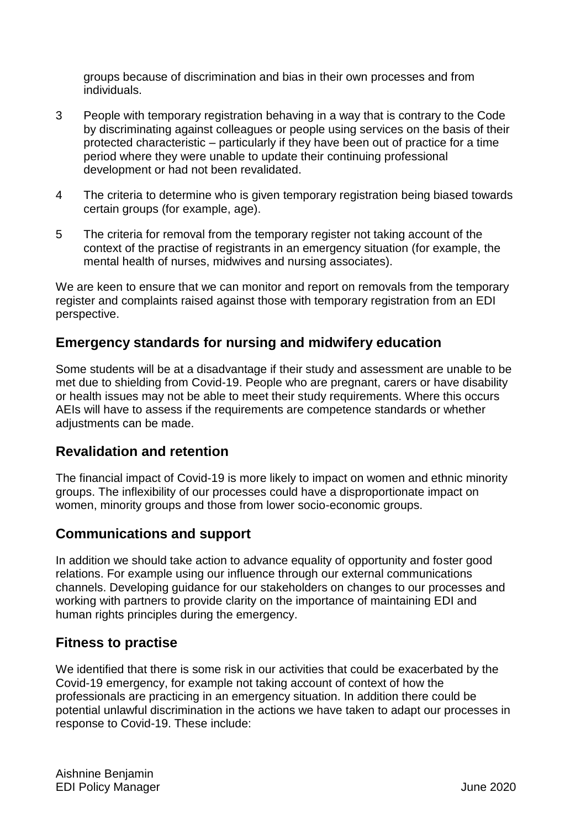groups because of discrimination and bias in their own processes and from individuals.

- 3 People with temporary registration behaving in a way that is contrary to the Code by discriminating against colleagues or people using services on the basis of their protected characteristic – particularly if they have been out of practice for a time period where they were unable to update their continuing professional development or had not been revalidated.
- 4 The criteria to determine who is given temporary registration being biased towards certain groups (for example, age).
- 5 The criteria for removal from the temporary register not taking account of the context of the practise of registrants in an emergency situation (for example, the mental health of nurses, midwives and nursing associates).

We are keen to ensure that we can monitor and report on removals from the temporary register and complaints raised against those with temporary registration from an EDI perspective.

## **Emergency standards for nursing and midwifery education**

Some students will be at a disadvantage if their study and assessment are unable to be met due to shielding from Covid-19. People who are pregnant, carers or have disability or health issues may not be able to meet their study requirements. Where this occurs AEIs will have to assess if the requirements are competence standards or whether adjustments can be made.

# **Revalidation and retention**

The financial impact of Covid-19 is more likely to impact on women and ethnic minority groups. The inflexibility of our processes could have a disproportionate impact on women, minority groups and those from lower socio-economic groups.

# **Communications and support**

In addition we should take action to advance equality of opportunity and foster good relations. For example using our influence through our external communications channels. Developing guidance for our stakeholders on changes to our processes and working with partners to provide clarity on the importance of maintaining EDI and human rights principles during the emergency.

# **Fitness to practise**

We identified that there is some risk in our activities that could be exacerbated by the Covid-19 emergency, for example not taking account of context of how the professionals are practicing in an emergency situation. In addition there could be potential unlawful discrimination in the actions we have taken to adapt our processes in response to Covid-19. These include: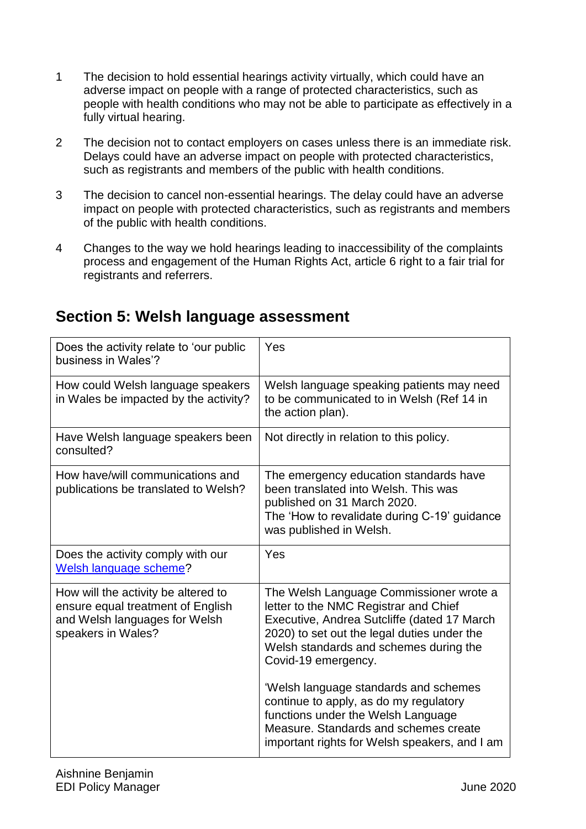- 1 The decision to hold essential hearings activity virtually, which could have an adverse impact on people with a range of protected characteristics, such as people with health conditions who may not be able to participate as effectively in a fully virtual hearing.
- 2 The decision not to contact employers on cases unless there is an immediate risk. Delays could have an adverse impact on people with protected characteristics, such as registrants and members of the public with health conditions.
- 3 The decision to cancel non-essential hearings. The delay could have an adverse impact on people with protected characteristics, such as registrants and members of the public with health conditions.
- 4 Changes to the way we hold hearings leading to inaccessibility of the complaints process and engagement of the Human Rights Act, article 6 right to a fair trial for registrants and referrers.

| Does the activity relate to 'our public<br>business in Wales'?                                                                  | Yes                                                                                                                                                                                                                                             |
|---------------------------------------------------------------------------------------------------------------------------------|-------------------------------------------------------------------------------------------------------------------------------------------------------------------------------------------------------------------------------------------------|
| How could Welsh language speakers<br>in Wales be impacted by the activity?                                                      | Welsh language speaking patients may need<br>to be communicated to in Welsh (Ref 14 in<br>the action plan).                                                                                                                                     |
| Have Welsh language speakers been<br>consulted?                                                                                 | Not directly in relation to this policy.                                                                                                                                                                                                        |
| How have/will communications and<br>publications be translated to Welsh?                                                        | The emergency education standards have<br>been translated into Welsh. This was<br>published on 31 March 2020.<br>The 'How to revalidate during C-19' guidance<br>was published in Welsh.                                                        |
|                                                                                                                                 |                                                                                                                                                                                                                                                 |
| Does the activity comply with our<br>Welsh language scheme?                                                                     | Yes                                                                                                                                                                                                                                             |
| How will the activity be altered to<br>ensure equal treatment of English<br>and Welsh languages for Welsh<br>speakers in Wales? | The Welsh Language Commissioner wrote a<br>letter to the NMC Registrar and Chief<br>Executive, Andrea Sutcliffe (dated 17 March<br>2020) to set out the legal duties under the<br>Welsh standards and schemes during the<br>Covid-19 emergency. |

# <span id="page-30-0"></span>**Section 5: Welsh language assessment**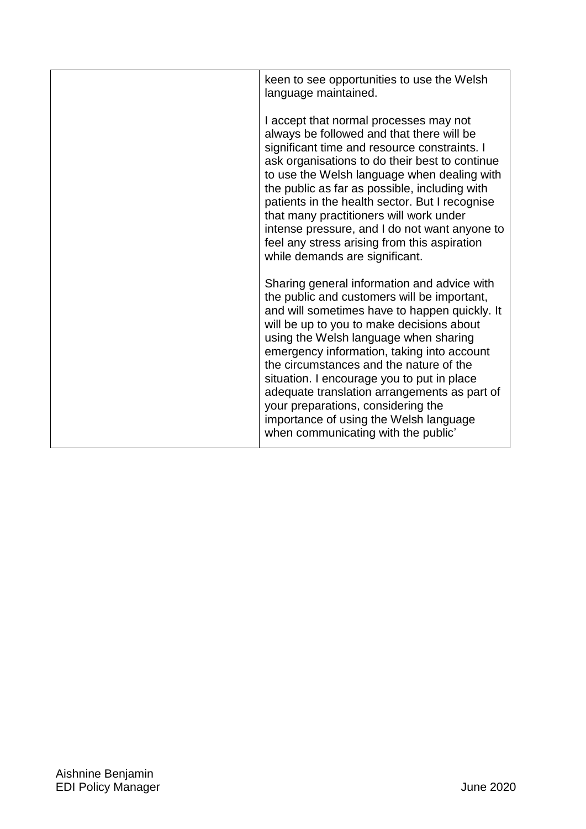| keen to see opportunities to use the Welsh<br>language maintained.                                                                                                                                                                                                                                                                                                                                                                                                                                                                              |
|-------------------------------------------------------------------------------------------------------------------------------------------------------------------------------------------------------------------------------------------------------------------------------------------------------------------------------------------------------------------------------------------------------------------------------------------------------------------------------------------------------------------------------------------------|
| I accept that normal processes may not<br>always be followed and that there will be<br>significant time and resource constraints. I<br>ask organisations to do their best to continue<br>to use the Welsh language when dealing with<br>the public as far as possible, including with<br>patients in the health sector. But I recognise<br>that many practitioners will work under<br>intense pressure, and I do not want anyone to<br>feel any stress arising from this aspiration<br>while demands are significant.                           |
| Sharing general information and advice with<br>the public and customers will be important,<br>and will sometimes have to happen quickly. It<br>will be up to you to make decisions about<br>using the Welsh language when sharing<br>emergency information, taking into account<br>the circumstances and the nature of the<br>situation. I encourage you to put in place<br>adequate translation arrangements as part of<br>your preparations, considering the<br>importance of using the Welsh language<br>when communicating with the public' |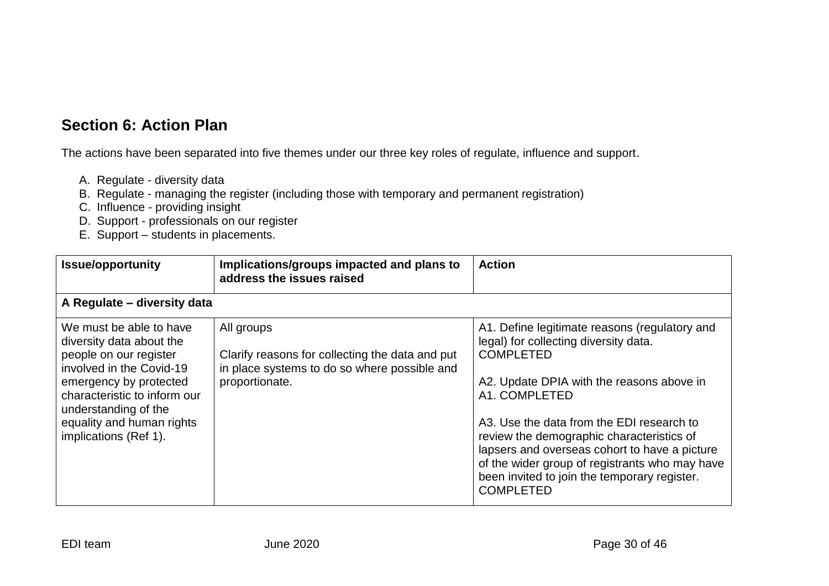# **Section 6: Action Plan**

The actions have been separated into five themes under our three key roles of regulate, influence and support.

- A. Regulate diversity data
- B. Regulate managing the register (including those with temporary and permanent registration)
- C. Influence providing insight
- D. Support professionals on our register
- E. Support students in placements.

<span id="page-32-0"></span>

| <b>Issue/opportunity</b>                                                                                                                                                                                                                          | Implications/groups impacted and plans to<br>address the issues raised                                                          | <b>Action</b>                                                                                                                                                                                                                                                                                                                                                                                                                             |
|---------------------------------------------------------------------------------------------------------------------------------------------------------------------------------------------------------------------------------------------------|---------------------------------------------------------------------------------------------------------------------------------|-------------------------------------------------------------------------------------------------------------------------------------------------------------------------------------------------------------------------------------------------------------------------------------------------------------------------------------------------------------------------------------------------------------------------------------------|
| A Regulate - diversity data                                                                                                                                                                                                                       |                                                                                                                                 |                                                                                                                                                                                                                                                                                                                                                                                                                                           |
| We must be able to have<br>diversity data about the<br>people on our register<br>involved in the Covid-19<br>emergency by protected<br>characteristic to inform our<br>understanding of the<br>equality and human rights<br>implications (Ref 1). | All groups<br>Clarify reasons for collecting the data and put<br>in place systems to do so where possible and<br>proportionate. | A1. Define legitimate reasons (regulatory and<br>legal) for collecting diversity data.<br><b>COMPLETED</b><br>A2. Update DPIA with the reasons above in<br>A1. COMPLETED<br>A3. Use the data from the EDI research to<br>review the demographic characteristics of<br>lapsers and overseas cohort to have a picture<br>of the wider group of registrants who may have<br>been invited to join the temporary register.<br><b>COMPLETED</b> |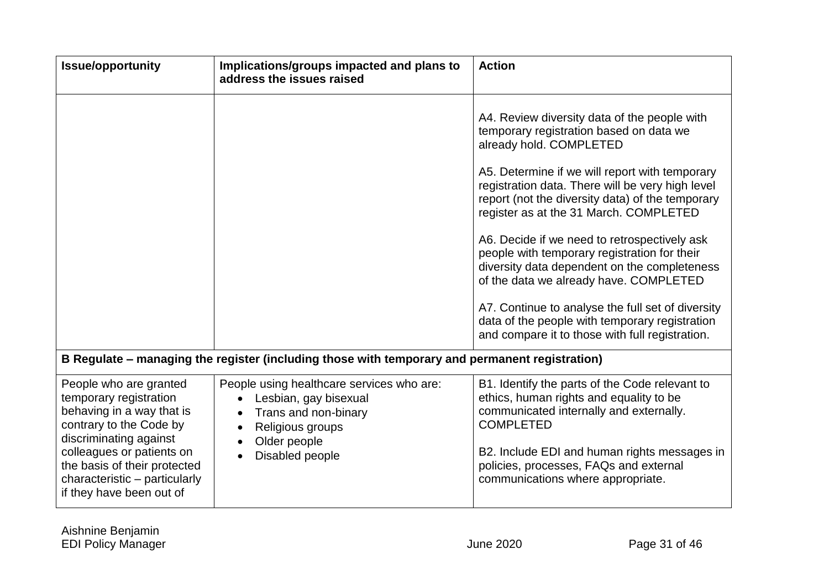| <b>Issue/opportunity</b>                                                                                                                                                                                                                                     | Implications/groups impacted and plans to<br>address the issues raised                                                                            | <b>Action</b>                                                                                                                                                                                                                                                                                                                                                                                                                                                                                                                                                                                                                                                              |
|--------------------------------------------------------------------------------------------------------------------------------------------------------------------------------------------------------------------------------------------------------------|---------------------------------------------------------------------------------------------------------------------------------------------------|----------------------------------------------------------------------------------------------------------------------------------------------------------------------------------------------------------------------------------------------------------------------------------------------------------------------------------------------------------------------------------------------------------------------------------------------------------------------------------------------------------------------------------------------------------------------------------------------------------------------------------------------------------------------------|
|                                                                                                                                                                                                                                                              |                                                                                                                                                   | A4. Review diversity data of the people with<br>temporary registration based on data we<br>already hold. COMPLETED<br>A5. Determine if we will report with temporary<br>registration data. There will be very high level<br>report (not the diversity data) of the temporary<br>register as at the 31 March. COMPLETED<br>A6. Decide if we need to retrospectively ask<br>people with temporary registration for their<br>diversity data dependent on the completeness<br>of the data we already have. COMPLETED<br>A7. Continue to analyse the full set of diversity<br>data of the people with temporary registration<br>and compare it to those with full registration. |
|                                                                                                                                                                                                                                                              | B Regulate – managing the register (including those with temporary and permanent registration)                                                    |                                                                                                                                                                                                                                                                                                                                                                                                                                                                                                                                                                                                                                                                            |
| People who are granted<br>temporary registration<br>behaving in a way that is<br>contrary to the Code by<br>discriminating against<br>colleagues or patients on<br>the basis of their protected<br>characteristic - particularly<br>if they have been out of | People using healthcare services who are:<br>Lesbian, gay bisexual<br>Trans and non-binary<br>Religious groups<br>Older people<br>Disabled people | B1. Identify the parts of the Code relevant to<br>ethics, human rights and equality to be<br>communicated internally and externally.<br><b>COMPLETED</b><br>B2. Include EDI and human rights messages in<br>policies, processes, FAQs and external<br>communications where appropriate.                                                                                                                                                                                                                                                                                                                                                                                    |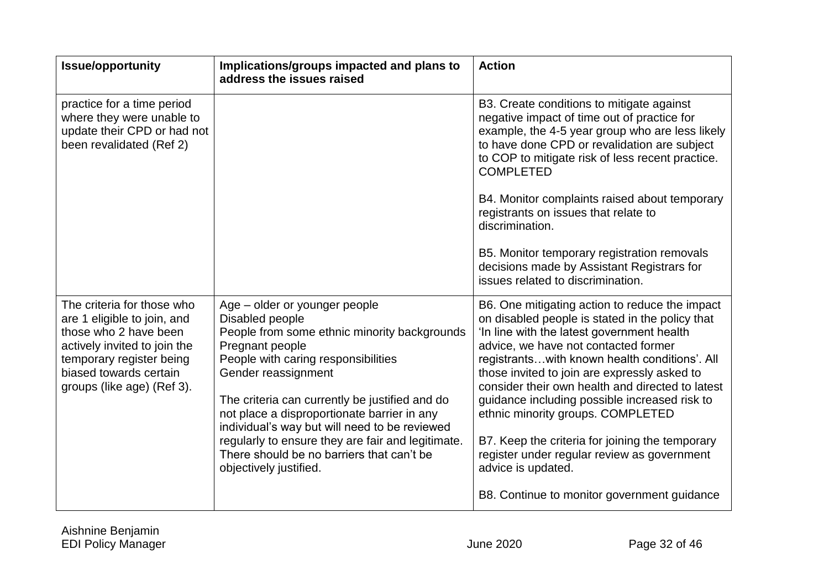| <b>Issue/opportunity</b>                                                                                                                                                                               | Implications/groups impacted and plans to<br>address the issues raised                                                                                                                                                                                                                                                                                                                                                                                          | <b>Action</b>                                                                                                                                                                                                                                                                                                                                                                                                                                                                                                                                                                                             |
|--------------------------------------------------------------------------------------------------------------------------------------------------------------------------------------------------------|-----------------------------------------------------------------------------------------------------------------------------------------------------------------------------------------------------------------------------------------------------------------------------------------------------------------------------------------------------------------------------------------------------------------------------------------------------------------|-----------------------------------------------------------------------------------------------------------------------------------------------------------------------------------------------------------------------------------------------------------------------------------------------------------------------------------------------------------------------------------------------------------------------------------------------------------------------------------------------------------------------------------------------------------------------------------------------------------|
| practice for a time period<br>where they were unable to<br>update their CPD or had not<br>been revalidated (Ref 2)                                                                                     |                                                                                                                                                                                                                                                                                                                                                                                                                                                                 | B3. Create conditions to mitigate against<br>negative impact of time out of practice for<br>example, the 4-5 year group who are less likely<br>to have done CPD or revalidation are subject<br>to COP to mitigate risk of less recent practice.<br><b>COMPLETED</b><br>B4. Monitor complaints raised about temporary<br>registrants on issues that relate to<br>discrimination.<br>B5. Monitor temporary registration removals<br>decisions made by Assistant Registrars for<br>issues related to discrimination.                                                                                         |
| The criteria for those who<br>are 1 eligible to join, and<br>those who 2 have been<br>actively invited to join the<br>temporary register being<br>biased towards certain<br>groups (like age) (Ref 3). | Age – older or younger people<br>Disabled people<br>People from some ethnic minority backgrounds<br>Pregnant people<br>People with caring responsibilities<br>Gender reassignment<br>The criteria can currently be justified and do<br>not place a disproportionate barrier in any<br>individual's way but will need to be reviewed<br>regularly to ensure they are fair and legitimate.<br>There should be no barriers that can't be<br>objectively justified. | B6. One mitigating action to reduce the impact<br>on disabled people is stated in the policy that<br>'In line with the latest government health<br>advice, we have not contacted former<br>registrantswith known health conditions'. All<br>those invited to join are expressly asked to<br>consider their own health and directed to latest<br>guidance including possible increased risk to<br>ethnic minority groups. COMPLETED<br>B7. Keep the criteria for joining the temporary<br>register under regular review as government<br>advice is updated.<br>B8. Continue to monitor government guidance |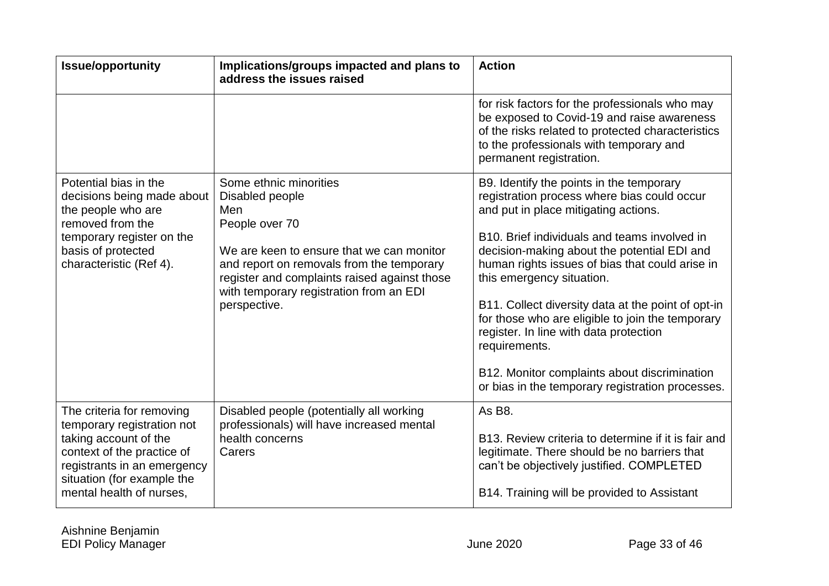| <b>Issue/opportunity</b>                                                                                                                                                                                | Implications/groups impacted and plans to<br>address the issues raised                                                                                                                                                                                                  | <b>Action</b>                                                                                                                                                                                                                                                                                                                                                                                                                                                                                                                                                                           |
|---------------------------------------------------------------------------------------------------------------------------------------------------------------------------------------------------------|-------------------------------------------------------------------------------------------------------------------------------------------------------------------------------------------------------------------------------------------------------------------------|-----------------------------------------------------------------------------------------------------------------------------------------------------------------------------------------------------------------------------------------------------------------------------------------------------------------------------------------------------------------------------------------------------------------------------------------------------------------------------------------------------------------------------------------------------------------------------------------|
|                                                                                                                                                                                                         |                                                                                                                                                                                                                                                                         | for risk factors for the professionals who may<br>be exposed to Covid-19 and raise awareness<br>of the risks related to protected characteristics<br>to the professionals with temporary and<br>permanent registration.                                                                                                                                                                                                                                                                                                                                                                 |
| Potential bias in the<br>decisions being made about<br>the people who are<br>removed from the<br>temporary register on the<br>basis of protected<br>characteristic (Ref 4).                             | Some ethnic minorities<br>Disabled people<br>Men<br>People over 70<br>We are keen to ensure that we can monitor<br>and report on removals from the temporary<br>register and complaints raised against those<br>with temporary registration from an EDI<br>perspective. | B9. Identify the points in the temporary<br>registration process where bias could occur<br>and put in place mitigating actions.<br>B10. Brief individuals and teams involved in<br>decision-making about the potential EDI and<br>human rights issues of bias that could arise in<br>this emergency situation.<br>B11. Collect diversity data at the point of opt-in<br>for those who are eligible to join the temporary<br>register. In line with data protection<br>requirements.<br>B12. Monitor complaints about discrimination<br>or bias in the temporary registration processes. |
| The criteria for removing<br>temporary registration not<br>taking account of the<br>context of the practice of<br>registrants in an emergency<br>situation (for example the<br>mental health of nurses, | Disabled people (potentially all working<br>professionals) will have increased mental<br>health concerns<br>Carers                                                                                                                                                      | As B8.<br>B13. Review criteria to determine if it is fair and<br>legitimate. There should be no barriers that<br>can't be objectively justified. COMPLETED<br>B14. Training will be provided to Assistant                                                                                                                                                                                                                                                                                                                                                                               |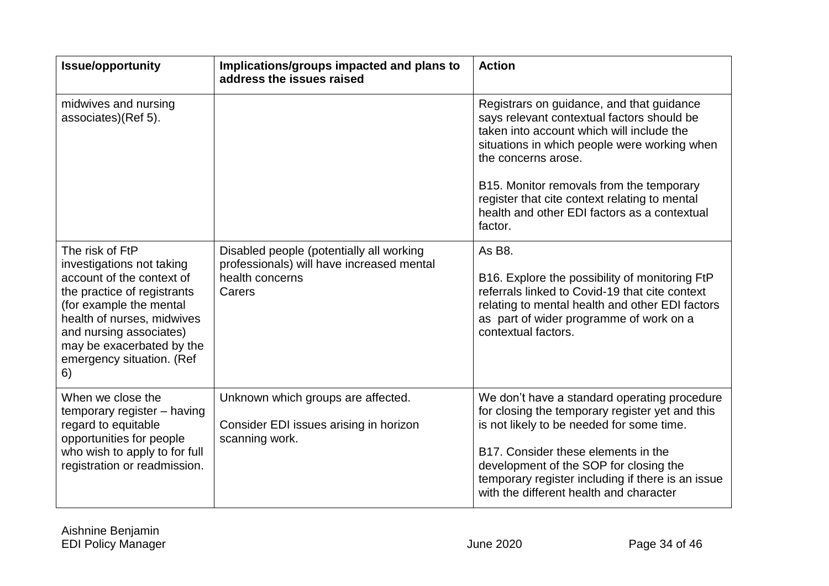| <b>Issue/opportunity</b>                                                                                                                                                                                                                                     | Implications/groups impacted and plans to<br>address the issues raised                                             | <b>Action</b>                                                                                                                                                                                                                                                                                                                                                       |
|--------------------------------------------------------------------------------------------------------------------------------------------------------------------------------------------------------------------------------------------------------------|--------------------------------------------------------------------------------------------------------------------|---------------------------------------------------------------------------------------------------------------------------------------------------------------------------------------------------------------------------------------------------------------------------------------------------------------------------------------------------------------------|
| midwives and nursing<br>associates)(Ref 5).                                                                                                                                                                                                                  |                                                                                                                    | Registrars on guidance, and that guidance<br>says relevant contextual factors should be<br>taken into account which will include the<br>situations in which people were working when<br>the concerns arose.<br>B15. Monitor removals from the temporary<br>register that cite context relating to mental<br>health and other EDI factors as a contextual<br>factor. |
| The risk of FtP<br>investigations not taking<br>account of the context of<br>the practice of registrants<br>(for example the mental<br>health of nurses, midwives<br>and nursing associates)<br>may be exacerbated by the<br>emergency situation. (Ref<br>6) | Disabled people (potentially all working<br>professionals) will have increased mental<br>health concerns<br>Carers | As B <sub>8</sub> .<br>B16. Explore the possibility of monitoring FtP<br>referrals linked to Covid-19 that cite context<br>relating to mental health and other EDI factors<br>as part of wider programme of work on a<br>contextual factors.                                                                                                                        |
| When we close the<br>temporary register - having<br>regard to equitable<br>opportunities for people<br>who wish to apply to for full<br>registration or readmission.                                                                                         | Unknown which groups are affected.<br>Consider EDI issues arising in horizon<br>scanning work.                     | We don't have a standard operating procedure<br>for closing the temporary register yet and this<br>is not likely to be needed for some time.<br>B17. Consider these elements in the<br>development of the SOP for closing the<br>temporary register including if there is an issue<br>with the different health and character                                       |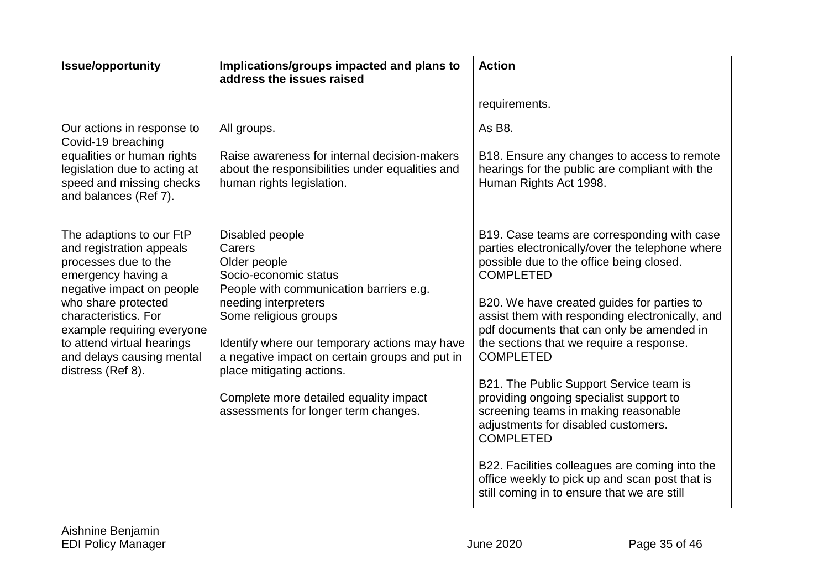| <b>Issue/opportunity</b>                                                                                                                                                                                                                                                                     | Implications/groups impacted and plans to<br>address the issues raised                                                                                                                                                                                                                                                                                                           | <b>Action</b>                                                                                                                                                                                                                                                                                                                                                                                                                                                                                                                                                                                                                                                                                                            |
|----------------------------------------------------------------------------------------------------------------------------------------------------------------------------------------------------------------------------------------------------------------------------------------------|----------------------------------------------------------------------------------------------------------------------------------------------------------------------------------------------------------------------------------------------------------------------------------------------------------------------------------------------------------------------------------|--------------------------------------------------------------------------------------------------------------------------------------------------------------------------------------------------------------------------------------------------------------------------------------------------------------------------------------------------------------------------------------------------------------------------------------------------------------------------------------------------------------------------------------------------------------------------------------------------------------------------------------------------------------------------------------------------------------------------|
|                                                                                                                                                                                                                                                                                              |                                                                                                                                                                                                                                                                                                                                                                                  | requirements.                                                                                                                                                                                                                                                                                                                                                                                                                                                                                                                                                                                                                                                                                                            |
| Our actions in response to<br>Covid-19 breaching<br>equalities or human rights<br>legislation due to acting at<br>speed and missing checks<br>and balances (Ref 7).                                                                                                                          | All groups.<br>Raise awareness for internal decision-makers<br>about the responsibilities under equalities and<br>human rights legislation.                                                                                                                                                                                                                                      | As B8.<br>B18. Ensure any changes to access to remote<br>hearings for the public are compliant with the<br>Human Rights Act 1998.                                                                                                                                                                                                                                                                                                                                                                                                                                                                                                                                                                                        |
| The adaptions to our FtP<br>and registration appeals<br>processes due to the<br>emergency having a<br>negative impact on people<br>who share protected<br>characteristics. For<br>example requiring everyone<br>to attend virtual hearings<br>and delays causing mental<br>distress (Ref 8). | Disabled people<br>Carers<br>Older people<br>Socio-economic status<br>People with communication barriers e.g.<br>needing interpreters<br>Some religious groups<br>Identify where our temporary actions may have<br>a negative impact on certain groups and put in<br>place mitigating actions.<br>Complete more detailed equality impact<br>assessments for longer term changes. | B19. Case teams are corresponding with case<br>parties electronically/over the telephone where<br>possible due to the office being closed.<br><b>COMPLETED</b><br>B20. We have created guides for parties to<br>assist them with responding electronically, and<br>pdf documents that can only be amended in<br>the sections that we require a response.<br><b>COMPLETED</b><br>B21. The Public Support Service team is<br>providing ongoing specialist support to<br>screening teams in making reasonable<br>adjustments for disabled customers.<br><b>COMPLETED</b><br>B22. Facilities colleagues are coming into the<br>office weekly to pick up and scan post that is<br>still coming in to ensure that we are still |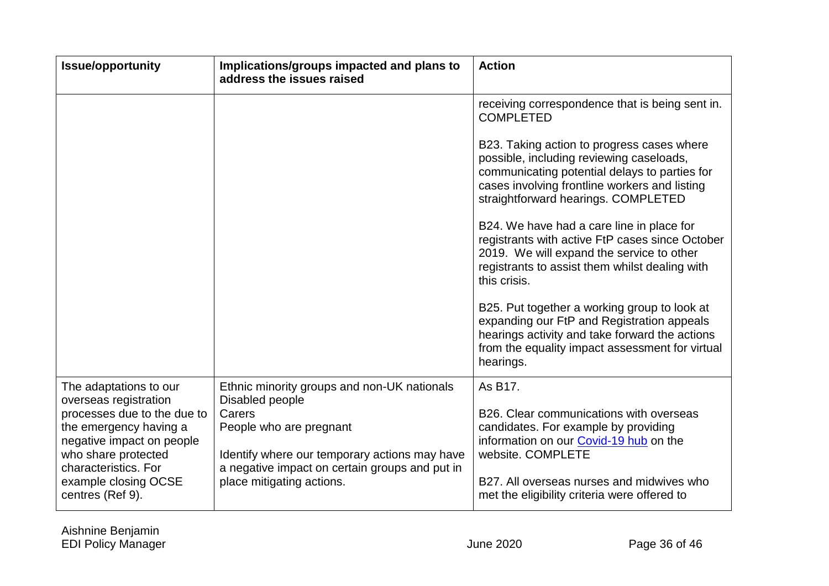| <b>Issue/opportunity</b>                                                                                                                                                                                                         | Implications/groups impacted and plans to<br>address the issues raised                                                                                                                                                              | <b>Action</b>                                                                                                                                                                                                                                                                                                                                                                                                                                                                                                                                                                                                                                                                                                                         |
|----------------------------------------------------------------------------------------------------------------------------------------------------------------------------------------------------------------------------------|-------------------------------------------------------------------------------------------------------------------------------------------------------------------------------------------------------------------------------------|---------------------------------------------------------------------------------------------------------------------------------------------------------------------------------------------------------------------------------------------------------------------------------------------------------------------------------------------------------------------------------------------------------------------------------------------------------------------------------------------------------------------------------------------------------------------------------------------------------------------------------------------------------------------------------------------------------------------------------------|
|                                                                                                                                                                                                                                  |                                                                                                                                                                                                                                     | receiving correspondence that is being sent in.<br><b>COMPLETED</b><br>B23. Taking action to progress cases where<br>possible, including reviewing caseloads,<br>communicating potential delays to parties for<br>cases involving frontline workers and listing<br>straightforward hearings. COMPLETED<br>B24. We have had a care line in place for<br>registrants with active FtP cases since October<br>2019. We will expand the service to other<br>registrants to assist them whilst dealing with<br>this crisis.<br>B25. Put together a working group to look at<br>expanding our FtP and Registration appeals<br>hearings activity and take forward the actions<br>from the equality impact assessment for virtual<br>hearings. |
| The adaptations to our<br>overseas registration<br>processes due to the due to<br>the emergency having a<br>negative impact on people<br>who share protected<br>characteristics. For<br>example closing OCSE<br>centres (Ref 9). | Ethnic minority groups and non-UK nationals<br>Disabled people<br>Carers<br>People who are pregnant<br>Identify where our temporary actions may have<br>a negative impact on certain groups and put in<br>place mitigating actions. | As B17.<br>B26. Clear communications with overseas<br>candidates. For example by providing<br>information on our Covid-19 hub on the<br>website. COMPLETE<br>B27. All overseas nurses and midwives who<br>met the eligibility criteria were offered to                                                                                                                                                                                                                                                                                                                                                                                                                                                                                |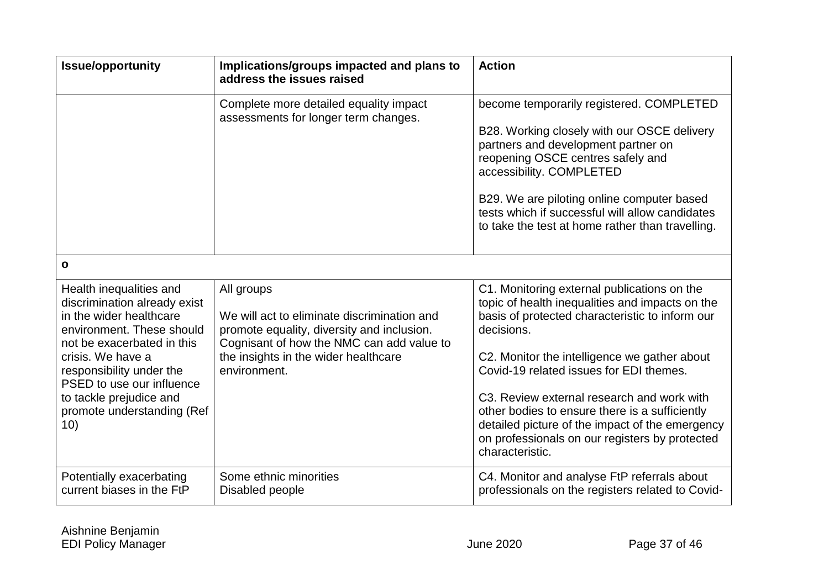| <b>Issue/opportunity</b>                                                                                                                      | Implications/groups impacted and plans to<br>address the issues raised                                                                               | <b>Action</b>                                                                                                                                                                                                                                                                                                                                        |
|-----------------------------------------------------------------------------------------------------------------------------------------------|------------------------------------------------------------------------------------------------------------------------------------------------------|------------------------------------------------------------------------------------------------------------------------------------------------------------------------------------------------------------------------------------------------------------------------------------------------------------------------------------------------------|
|                                                                                                                                               | Complete more detailed equality impact<br>assessments for longer term changes.                                                                       | become temporarily registered. COMPLETED<br>B28. Working closely with our OSCE delivery<br>partners and development partner on<br>reopening OSCE centres safely and<br>accessibility. COMPLETED<br>B29. We are piloting online computer based<br>tests which if successful will allow candidates<br>to take the test at home rather than travelling. |
| $\mathbf{o}$                                                                                                                                  |                                                                                                                                                      |                                                                                                                                                                                                                                                                                                                                                      |
| Health inequalities and<br>discrimination already exist<br>in the wider healthcare<br>environment. These should<br>not be exacerbated in this | All groups<br>We will act to eliminate discrimination and<br>promote equality, diversity and inclusion.<br>Cognisant of how the NMC can add value to | C1. Monitoring external publications on the<br>topic of health inequalities and impacts on the<br>basis of protected characteristic to inform our<br>decisions.                                                                                                                                                                                      |
| crisis. We have a<br>responsibility under the                                                                                                 | the insights in the wider healthcare<br>environment.                                                                                                 | C2. Monitor the intelligence we gather about<br>Covid-19 related issues for EDI themes.                                                                                                                                                                                                                                                              |
| PSED to use our influence<br>to tackle prejudice and<br>promote understanding (Ref<br>10)                                                     |                                                                                                                                                      | C3. Review external research and work with<br>other bodies to ensure there is a sufficiently<br>detailed picture of the impact of the emergency<br>on professionals on our registers by protected<br>characteristic.                                                                                                                                 |
| Potentially exacerbating<br>current biases in the FtP                                                                                         | Some ethnic minorities<br>Disabled people                                                                                                            | C4. Monitor and analyse FtP referrals about<br>professionals on the registers related to Covid-                                                                                                                                                                                                                                                      |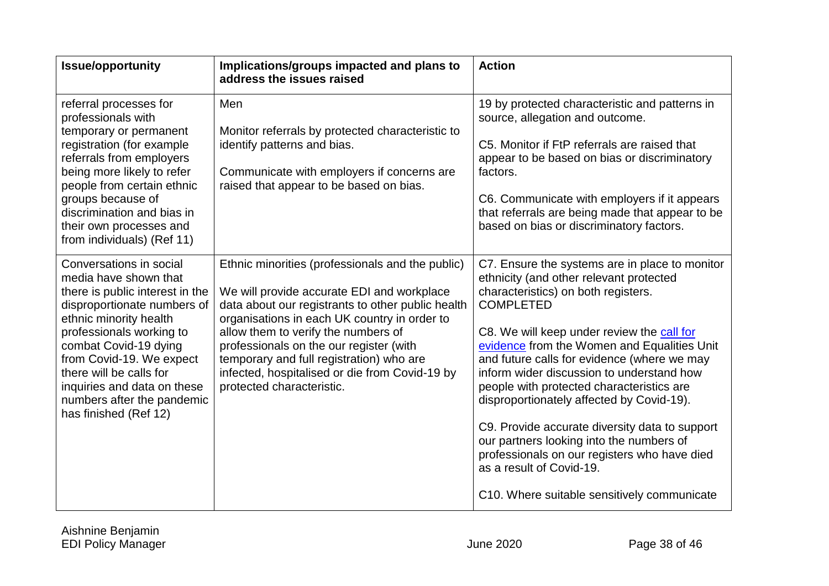| <b>Issue/opportunity</b>                                                                                                                                                                                                                                                                                                                       | Implications/groups impacted and plans to<br>address the issues raised                                                                                                                                                                                                                                                                                                                                           | <b>Action</b>                                                                                                                                                                                                                                                                                                                                                                                                                                                                                                                                                                                                                                                    |
|------------------------------------------------------------------------------------------------------------------------------------------------------------------------------------------------------------------------------------------------------------------------------------------------------------------------------------------------|------------------------------------------------------------------------------------------------------------------------------------------------------------------------------------------------------------------------------------------------------------------------------------------------------------------------------------------------------------------------------------------------------------------|------------------------------------------------------------------------------------------------------------------------------------------------------------------------------------------------------------------------------------------------------------------------------------------------------------------------------------------------------------------------------------------------------------------------------------------------------------------------------------------------------------------------------------------------------------------------------------------------------------------------------------------------------------------|
| referral processes for<br>professionals with<br>temporary or permanent<br>registration (for example<br>referrals from employers<br>being more likely to refer<br>people from certain ethnic<br>groups because of<br>discrimination and bias in<br>their own processes and<br>from individuals) (Ref 11)                                        | Men<br>Monitor referrals by protected characteristic to<br>identify patterns and bias.<br>Communicate with employers if concerns are<br>raised that appear to be based on bias.                                                                                                                                                                                                                                  | 19 by protected characteristic and patterns in<br>source, allegation and outcome.<br>C5. Monitor if FtP referrals are raised that<br>appear to be based on bias or discriminatory<br>factors.<br>C6. Communicate with employers if it appears<br>that referrals are being made that appear to be<br>based on bias or discriminatory factors.                                                                                                                                                                                                                                                                                                                     |
| Conversations in social<br>media have shown that<br>there is public interest in the<br>disproportionate numbers of<br>ethnic minority health<br>professionals working to<br>combat Covid-19 dying<br>from Covid-19. We expect<br>there will be calls for<br>inquiries and data on these<br>numbers after the pandemic<br>has finished (Ref 12) | Ethnic minorities (professionals and the public)<br>We will provide accurate EDI and workplace<br>data about our registrants to other public health<br>organisations in each UK country in order to<br>allow them to verify the numbers of<br>professionals on the our register (with<br>temporary and full registration) who are<br>infected, hospitalised or die from Covid-19 by<br>protected characteristic. | C7. Ensure the systems are in place to monitor<br>ethnicity (and other relevant protected<br>characteristics) on both registers.<br><b>COMPLETED</b><br>C8. We will keep under review the call for<br>evidence from the Women and Equalities Unit<br>and future calls for evidence (where we may<br>inform wider discussion to understand how<br>people with protected characteristics are<br>disproportionately affected by Covid-19).<br>C9. Provide accurate diversity data to support<br>our partners looking into the numbers of<br>professionals on our registers who have died<br>as a result of Covid-19.<br>C10. Where suitable sensitively communicate |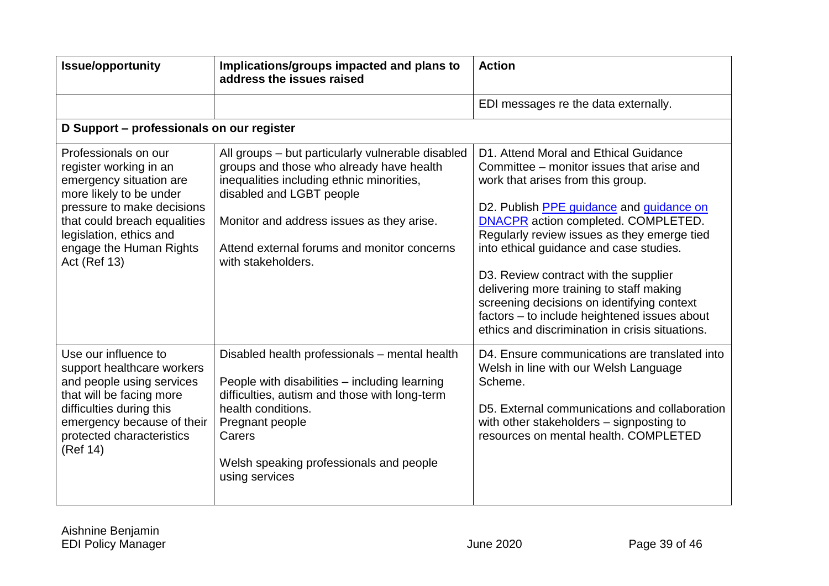| <b>Issue/opportunity</b>                                                                                                                                                                                                                 | Implications/groups impacted and plans to<br>address the issues raised                                                                                                                                                                                                                   | <b>Action</b>                                                                                                                                                                                                                                                                                                                                                                                                                                                                                                                              |
|------------------------------------------------------------------------------------------------------------------------------------------------------------------------------------------------------------------------------------------|------------------------------------------------------------------------------------------------------------------------------------------------------------------------------------------------------------------------------------------------------------------------------------------|--------------------------------------------------------------------------------------------------------------------------------------------------------------------------------------------------------------------------------------------------------------------------------------------------------------------------------------------------------------------------------------------------------------------------------------------------------------------------------------------------------------------------------------------|
|                                                                                                                                                                                                                                          |                                                                                                                                                                                                                                                                                          | EDI messages re the data externally.                                                                                                                                                                                                                                                                                                                                                                                                                                                                                                       |
| D Support - professionals on our register                                                                                                                                                                                                |                                                                                                                                                                                                                                                                                          |                                                                                                                                                                                                                                                                                                                                                                                                                                                                                                                                            |
| Professionals on our<br>register working in an<br>emergency situation are<br>more likely to be under<br>pressure to make decisions<br>that could breach equalities<br>legislation, ethics and<br>engage the Human Rights<br>Act (Ref 13) | All groups - but particularly vulnerable disabled<br>groups and those who already have health<br>inequalities including ethnic minorities,<br>disabled and LGBT people<br>Monitor and address issues as they arise.<br>Attend external forums and monitor concerns<br>with stakeholders. | D1. Attend Moral and Ethical Guidance<br>Committee – monitor issues that arise and<br>work that arises from this group.<br>D2. Publish PPE guidance and guidance on<br>DNACPR action completed. COMPLETED.<br>Regularly review issues as they emerge tied<br>into ethical guidance and case studies.<br>D3. Review contract with the supplier<br>delivering more training to staff making<br>screening decisions on identifying context<br>factors - to include heightened issues about<br>ethics and discrimination in crisis situations. |
| Use our influence to<br>support healthcare workers<br>and people using services<br>that will be facing more<br>difficulties during this<br>emergency because of their<br>protected characteristics<br>(Ref 14)                           | Disabled health professionals - mental health<br>People with disabilities - including learning<br>difficulties, autism and those with long-term<br>health conditions.<br>Pregnant people<br>Carers<br>Welsh speaking professionals and people<br>using services                          | D4. Ensure communications are translated into<br>Welsh in line with our Welsh Language<br>Scheme.<br>D5. External communications and collaboration<br>with other stakeholders - signposting to<br>resources on mental health. COMPLETED                                                                                                                                                                                                                                                                                                    |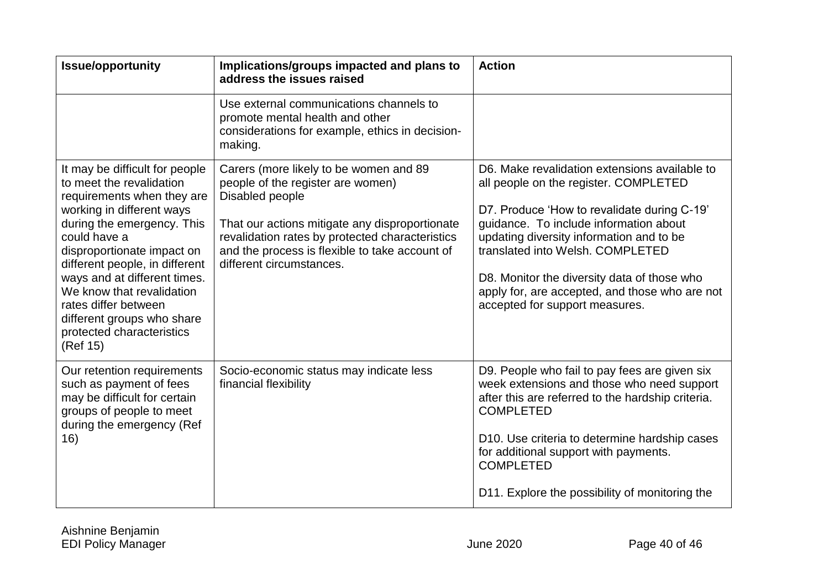| <b>Issue/opportunity</b>                                                                                                                                                                                                                                                                                                                                                                        | Implications/groups impacted and plans to<br>address the issues raised                                                                                                                                                                                                            | <b>Action</b>                                                                                                                                                                                                                                                                                                                                                                                      |
|-------------------------------------------------------------------------------------------------------------------------------------------------------------------------------------------------------------------------------------------------------------------------------------------------------------------------------------------------------------------------------------------------|-----------------------------------------------------------------------------------------------------------------------------------------------------------------------------------------------------------------------------------------------------------------------------------|----------------------------------------------------------------------------------------------------------------------------------------------------------------------------------------------------------------------------------------------------------------------------------------------------------------------------------------------------------------------------------------------------|
|                                                                                                                                                                                                                                                                                                                                                                                                 | Use external communications channels to<br>promote mental health and other<br>considerations for example, ethics in decision-<br>making.                                                                                                                                          |                                                                                                                                                                                                                                                                                                                                                                                                    |
| It may be difficult for people<br>to meet the revalidation<br>requirements when they are<br>working in different ways<br>during the emergency. This<br>could have a<br>disproportionate impact on<br>different people, in different<br>ways and at different times.<br>We know that revalidation<br>rates differ between<br>different groups who share<br>protected characteristics<br>(Ref 15) | Carers (more likely to be women and 89<br>people of the register are women)<br>Disabled people<br>That our actions mitigate any disproportionate<br>revalidation rates by protected characteristics<br>and the process is flexible to take account of<br>different circumstances. | D6. Make revalidation extensions available to<br>all people on the register. COMPLETED<br>D7. Produce 'How to revalidate during C-19'<br>guidance. To include information about<br>updating diversity information and to be<br>translated into Welsh, COMPLETED<br>D8. Monitor the diversity data of those who<br>apply for, are accepted, and those who are not<br>accepted for support measures. |
| Our retention requirements<br>such as payment of fees<br>may be difficult for certain<br>groups of people to meet<br>during the emergency (Ref<br>16)                                                                                                                                                                                                                                           | Socio-economic status may indicate less<br>financial flexibility                                                                                                                                                                                                                  | D9. People who fail to pay fees are given six<br>week extensions and those who need support<br>after this are referred to the hardship criteria.<br><b>COMPLETED</b><br>D10. Use criteria to determine hardship cases<br>for additional support with payments.<br><b>COMPLETED</b><br>D11. Explore the possibility of monitoring the                                                               |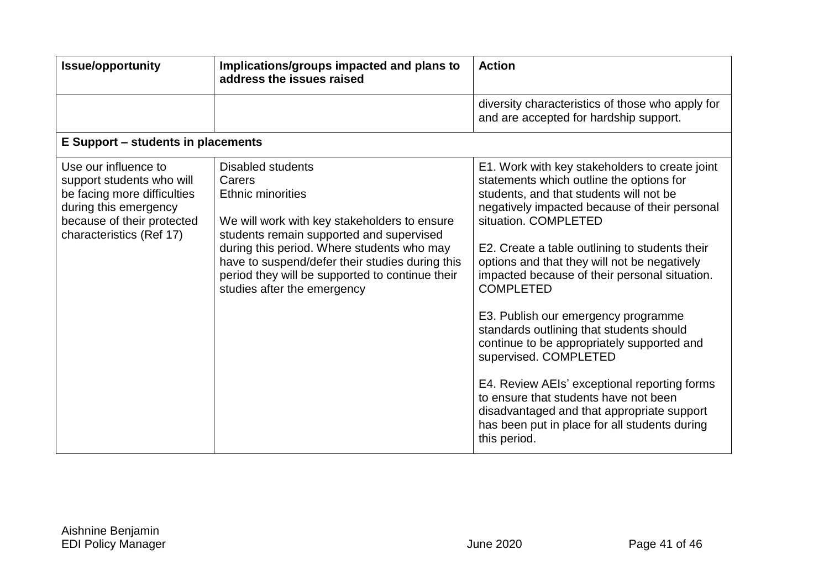| <b>Issue/opportunity</b>                                                                                                                                            | Implications/groups impacted and plans to<br>address the issues raised                                                                                                                                                                                                                                                                        | <b>Action</b>                                                                                                                                                                                                                                                                                                                                                                                                                                                                                                                                                                                                                                                                                                                                           |
|---------------------------------------------------------------------------------------------------------------------------------------------------------------------|-----------------------------------------------------------------------------------------------------------------------------------------------------------------------------------------------------------------------------------------------------------------------------------------------------------------------------------------------|---------------------------------------------------------------------------------------------------------------------------------------------------------------------------------------------------------------------------------------------------------------------------------------------------------------------------------------------------------------------------------------------------------------------------------------------------------------------------------------------------------------------------------------------------------------------------------------------------------------------------------------------------------------------------------------------------------------------------------------------------------|
|                                                                                                                                                                     |                                                                                                                                                                                                                                                                                                                                               | diversity characteristics of those who apply for<br>and are accepted for hardship support.                                                                                                                                                                                                                                                                                                                                                                                                                                                                                                                                                                                                                                                              |
| E Support – students in placements                                                                                                                                  |                                                                                                                                                                                                                                                                                                                                               |                                                                                                                                                                                                                                                                                                                                                                                                                                                                                                                                                                                                                                                                                                                                                         |
| Use our influence to<br>support students who will<br>be facing more difficulties<br>during this emergency<br>because of their protected<br>characteristics (Ref 17) | <b>Disabled students</b><br>Carers<br><b>Ethnic minorities</b><br>We will work with key stakeholders to ensure<br>students remain supported and supervised<br>during this period. Where students who may<br>have to suspend/defer their studies during this<br>period they will be supported to continue their<br>studies after the emergency | E1. Work with key stakeholders to create joint<br>statements which outline the options for<br>students, and that students will not be<br>negatively impacted because of their personal<br>situation. COMPLETED<br>E2. Create a table outlining to students their<br>options and that they will not be negatively<br>impacted because of their personal situation.<br><b>COMPLETED</b><br>E3. Publish our emergency programme<br>standards outlining that students should<br>continue to be appropriately supported and<br>supervised. COMPLETED<br>E4. Review AEIs' exceptional reporting forms<br>to ensure that students have not been<br>disadvantaged and that appropriate support<br>has been put in place for all students during<br>this period. |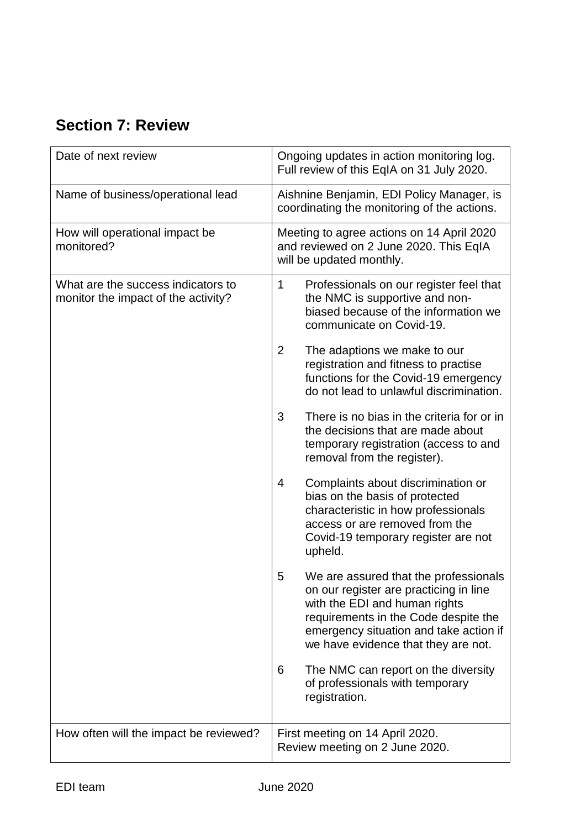# <span id="page-44-0"></span>**Section 7: Review**

| Date of next review                                                       | Ongoing updates in action monitoring log.<br>Full review of this EqIA on 31 July 2020.                                                                                                                                                         |  |
|---------------------------------------------------------------------------|------------------------------------------------------------------------------------------------------------------------------------------------------------------------------------------------------------------------------------------------|--|
| Name of business/operational lead                                         | Aishnine Benjamin, EDI Policy Manager, is<br>coordinating the monitoring of the actions.                                                                                                                                                       |  |
| How will operational impact be<br>monitored?                              | Meeting to agree actions on 14 April 2020<br>and reviewed on 2 June 2020. This EqIA<br>will be updated monthly.                                                                                                                                |  |
| What are the success indicators to<br>monitor the impact of the activity? | $\mathbf 1$<br>Professionals on our register feel that<br>the NMC is supportive and non-<br>biased because of the information we<br>communicate on Covid-19.                                                                                   |  |
|                                                                           | $\overline{2}$<br>The adaptions we make to our<br>registration and fitness to practise<br>functions for the Covid-19 emergency<br>do not lead to unlawful discrimination.                                                                      |  |
|                                                                           | 3<br>There is no bias in the criteria for or in<br>the decisions that are made about<br>temporary registration (access to and<br>removal from the register).                                                                                   |  |
|                                                                           | Complaints about discrimination or<br>4<br>bias on the basis of protected<br>characteristic in how professionals<br>access or are removed from the<br>Covid-19 temporary register are not<br>upheld.                                           |  |
|                                                                           | 5<br>We are assured that the professionals<br>on our register are practicing in line<br>with the EDI and human rights<br>requirements in the Code despite the<br>emergency situation and take action if<br>we have evidence that they are not. |  |
|                                                                           | The NMC can report on the diversity<br>6<br>of professionals with temporary<br>registration.                                                                                                                                                   |  |
| How often will the impact be reviewed?                                    | First meeting on 14 April 2020.<br>Review meeting on 2 June 2020.                                                                                                                                                                              |  |